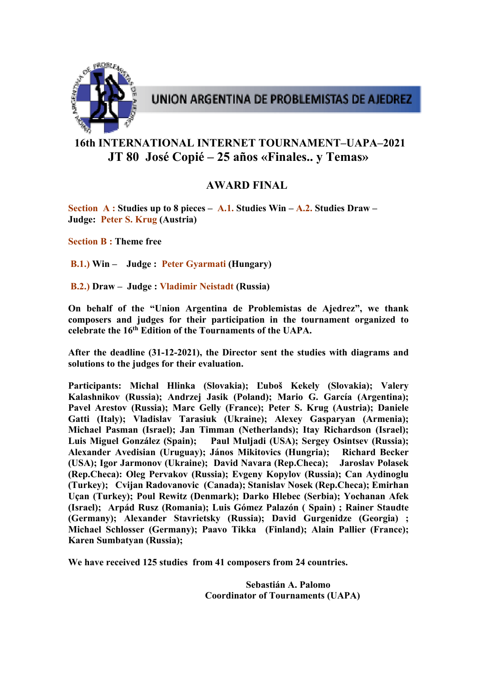

## UNION ARGENTINA DE PROBLEMISTAS DE AJEDREZ

## **16th INTERNATIONAL INTERNET TOURNAMENT–UAPA–2021 JT 80 José Copié – 25 años «Finales.. y Temas»**

## **AWARD FINAL**

**Section A : Studies up to 8 pieces – A.1. Studies Win – A.2. Studies Draw – Judge: Peter S. Krug (Austria)**

**Section B : Theme free** 

**B.1.) Win – Judge : Peter Gyarmati (Hungary)**

**B.2.) Draw – Judge : Vladimir Neistadt (Russia)** 

**On behalf of the "Union Argentina de Problemistas de Ajedrez", we thank composers and judges for their participation in the tournament organized to celebrate the 16th Edition of the Tournaments of the UAPA.** 

**After the deadline (31-12-2021), the Director sent the studies with diagrams and solutions to the judges for their evaluation.** 

**Participants: Michal Hlinka (Slovakia); Ľuboš Kekely (Slovakia); Valery Kalashnikov (Russia); Andrzej Jasik (Poland); Mario G. García (Argentina); Pavel Arestov (Russia); Marc Gelly (France); Peter S. Krug (Austria); Daniele Gatti (Italy); Vladislav Tarasiuk (Ukraine); Alexey Gasparyan (Armenia); Michael Pasman (Israel); Jan Timman (Netherlands); Itay Richardson (Israel); Luis Miguel González (Spain); Paul Muljadi (USA); Sergey Osintsev (Russia); Alexander Avedisian (Uruguay); János Mikitovics (Hungria); Richard Becker (USA); Igor Jarmonov (Ukraine); David Navara (Rep.Checa); Jaroslav Polasek (Rep.Checa): Oleg Pervakov (Russia); Evgeny Kopylov (Russia); Can Aydinoglu (Turkey); Cvijan Radovanovic (Canada); Stanislav Nosek (Rep.Checa); Emirhan Uçan (Turkey); Poul Rewitz (Denmark); Darko Hlebec (Serbia); Yochanan Afek (Israel); Arpád Rusz (Romania); Luis Gómez Palazón ( Spain) ; Rainer Staudte (Germany); Alexander Stavrietsky (Russia); David Gurgenidze (Georgia) ; Michael Schlosser (Germany); Paavo Tikka (Finland); Alain Pallier (France); Karen Sumbatyan (Russia);** 

**We have received 125 studies from 41 composers from 24 countries.** 

 **Sebastián A. Palomo Coordinator of Tournaments (UAPA)**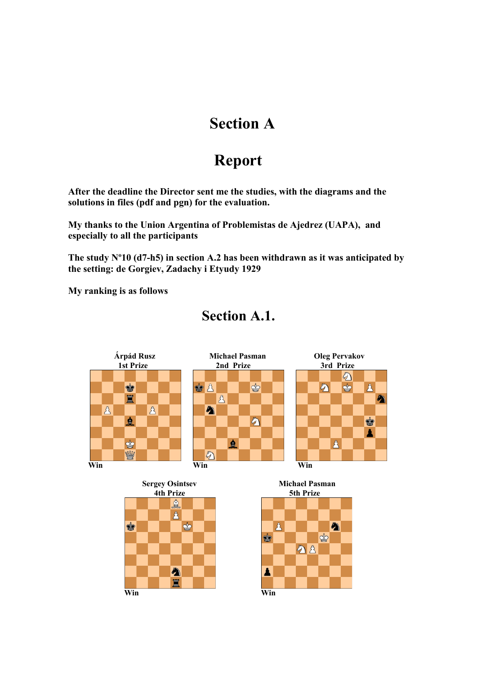# **Section A**

# **Report**

**After the deadline the Director sent me the studies, with the diagrams and the solutions in files (pdf and pgn) for the evaluation.** 

**My thanks to the Union Argentina of Problemistas de Ajedrez (UAPA), and especially to all the participants** 

**The study Nº10 (d7-h5) in section A.2 has been withdrawn as it was anticipated by the setting: de Gorgiev, Zadachy i Etyudy 1929** 

**My ranking is as follows** 



## **Section A.1.**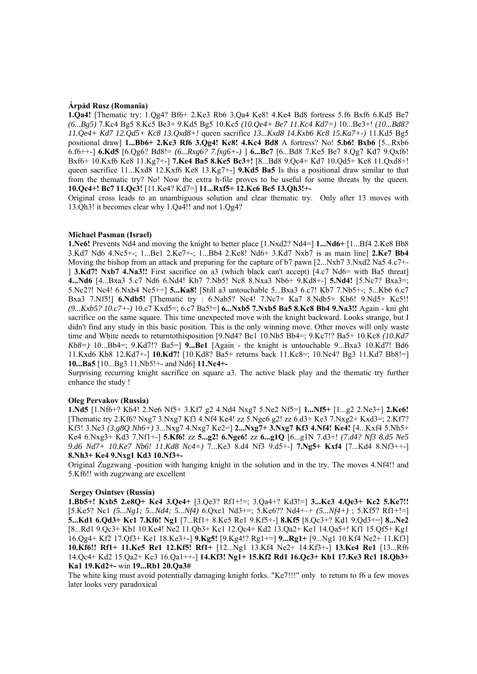#### **Árpád Rusz (Romania)**

**1.Qa4!** [Thematic try: 1.Qg4? Bf6+ 2.Ke3 Rb6 3.Qa4 Ke8! 4.Ke4 Bd8 fortress 5.f6 Bxf6 6.Kd5 Be7 *(6...Bg5)* 7.Kc4 Bg5 8.Kc5 Be3+ 9.Kd5 Bg5 10.Kc5 *(10.Qe4+ Be7 11.Kc4 Kd7=)* 10...Be3+! *(10...Bd8? 11.Qe4+ Kd7 12.Qd5+ Kc8 13.Qxd8+!* queen sacrifice *13...Kxd8 14.Kxb6 Kc8 15.Ka7+-)* 11.Kd5 Bg5 positional draw] **1...Bb6+ 2.Kc3 Rf6 3.Qg4! Kc8! 4.Kc4 Bd8** A fortress? No! **5.b6! Bxb6** [5...Rxb6 6.f6++-] **6.Kd5** [6.Qg6? Bd8!= *(6...Rxg6? 7.fxg6+-)* ] **6...Bc7** [6...Bd8 7.Ke5 Be7 8.Qg7 Kd7 9.Qxf6! Bxf6+ 10.Kxf6 Ke8 11.Kg7+-] **7.Ke4 Ba5 8.Ke5 Bc3+!** [8...Bd8 9.Qc4+ Kd7 10.Qd5+ Ke8 11.Qxd8+! queen sacrifice 11...Kxd8 12.Kxf6 Ke8 13.Kg7+-] **9.Kd5 Ba5** Is this a positional draw similar to that from the thematic try? No! Now the extra h-file proves to be useful for some threats by the queen. **10.Qc4+! Bc7 11.Qc3!** [11.Ke4? Kd7=] **11...Rxf5+ 12.Kc6 Be5 13.Qh3!+-** 

Original cross leads to an unambiguous solution and clear thematic try. Only after 13 moves with 13.Qh3! it becomes clear why 1.Qa4!! and not 1.Qg4?

#### **Michael Pasman (Israel)**

**1.Ne6!** Prevents Nd4 and moving the knight to better place [1.Nxd2? Nd4=] **1...Nd6+** [1...Bf4 2.Ke8 Bb8 3.Kd7 Nd6 4.Nc5+-; 1...Be1 2.Ke7+-; 1...Bb4 2.Ke8! Nd6+ 3.Kd7 Nxb7 is as main line] **2.Ke7 Bb4**  Moving the bishop from an attack and preparing for the capture of b7 pawn [2...Nxb7 3.Nxd2 Na5 4.c7+-] **3.Kd7! Nxb7 4.Na3!!** First sacrifice on a3 (which black can't accept) [4.c7 Nd6= with Ba5 threat] **4...Nd6** [4...Bxa3 5.c7 Nd6 6.Nd4! Kb7 7.Nb5! Nc8 8.Nxa3 Nb6+ 9.Kd8+-] **5.Nd4!** [5.Nc7? Bxa3=; 5.Nc2?! Nc4! 6.Nxb4 Ne5+÷] **5...Ka8!** [Still a3 untouchable 5...Bxa3 6.c7! Kb7 7.Nb5+-; 5...Kb6 6.c7 Bxa3 7.Nf5!] **6.Ndb5!** [Thematic try : 6.Nab5? Nc4! 7.Nc7+ Ka7 8.Ndb5+ Kb6! 9.Nd5+ Kc5!! *(9...Kxb5? 10.c7+-)* 10.c7 Kxd5=; 6.c7 Ba5!=] **6...Nxb5 7.Nxb5 Ba5 8.Kc8 Bb4 9.Na3!!** Again - kni ght sacrifice on the same square. This time unexpected move with the knight backward. Looks strange, but I didn't find any study in this basic position. This is the only winning move. Other moves will only waste time and White needs to returntothisposition [9.Nd4? Be1 10.Nb5 Bb4=; 9.Kc7!? Ba5+ 10.Kc8 *(10.Kd7 Kb8=)* 10...Bb4=; 9.Kd7!? Ba5=] **9...Be1** [Again - the knight is untouchable 9...Bxa3 10.Kd7! Bd6 11.Kxd6 Kb8 12.Kd7+-] **10.Kd7!** [10.Kd8? Ba5+ returns back 11.Kc8=; 10.Nc4? Bg3 11.Kd7 Bb8!=] **10...Ba5** [10...Bg3 11.Nb5!+- and Nd6] **11.Nc4+-**

Surprising recurring knight sacrifice on square a3. The active black play and the thematic try further enhance the study !

#### **Oleg Pervakov (Russia)**

**1.Nd5** [1.Nf6+? Kh4! 2.Ne6 Nf5+ 3.Kf7 g2 4.Nd4 Nxg7 5.Ne2 Nf5=] **1...Nf5+** [1...g2 2.Ne3+] **2.Ke6!**  [Thematic try 2.Kf6? Nxg7 3.Nxg7 Kf3 4.Nf4 Ke4! zz 5.Nge6 g2! zz 6.d3+ Ke3 7.Nxg2+ Kxd3=; 2.Kf7? Kf3! 3.Ne3 *(3.g8Q Nh6+)* 3...Nxg7 4.Nxg7 Ke2=] **2...Nxg7+ 3.Nxg7 Kf3 4.Nf4! Ke4!** [4...Kxf4 5.Nh5+ Ke4 6.Nxg3+ Kd3 7.Nf1+-] **5.Kf6!** zz **5...g2! 6.Nge6!** zz **6...g1Q** [6...g1N 7.d3+! *(7.d4? Nf3 8.d5 Ne5 9.d6 Nd7+ 10.Ke7 Nb6! 11.Kd8 Nc4=)* 7...Ke3 8.d4 Nf3 9.d5+-] **7.Ng5+ Kxf4** [7...Kd4 8.Nf3++-] **8.Nh3+ Ke4 9.Nxg1 Kd3 10.Nf3+-**

Original Zugzwang -position with hanging knight in the solution and in the try. The moves 4.Nf4!! and 5.Kf6!! with zugzwang are excellent

#### **Sergey Osintsev (Russia)**

**1.Bb5+! Kxb5 2.e8Q+ Kc4 3.Qe4+** [3.Qe3? Rf1+!=; 3.Qa4+? Kd3!=] **3...Kc3 4.Qe3+ Kc2 5.Ke7!!**  [5.Ke5? Nc1 *(5...Ng1; 5...Nd4; 5...Nf4)* 6.Qxe1 Nd3+=; 5.Ke6?? Nd4+–+ *(5...Nf4+)* ; 5.Kf5? Rf1+!=] **5...Kd1 6.Qd3+ Kc1 7.Kf6! Ng1** [7...Rf1+ 8.Ke5 Re1 9.Kf5+-] **8.Kf5** [8.Qc3+? Kd1 9.Qd3+=] **8...Ne2**  [8...Rd1 9.Qc3+ Kb1 10.Ke4! Ne2 11.Qb3+ Kc1 12.Qc4+ Kd2 13.Qa2+ Ke1 14.Qa5+! Kf1 15.Qf5+ Kg1 16.Qg4+ Kf2 17.Qf3+ Ke1 18.Ke3+-] **9.Kg5!** [9.Kg4!? Rg1+=] **9...Rg1+** [9...Ng1 10.Kf4 Ne2+ 11.Kf3] **10.Kf6!! Rf1+ 11.Ke5 Re1 12.Kf5! Rf1+** [12...Ng1 13.Kf4 Ne2+ 14.Kf3+-] **13.Ke4 Re1** [13...Rf6 14.Qc4+ Kd2 15.Qa2+ Kc3 16.Qa1++-] **14.Kf3! Ng1+ 15.Kf2 Rd1 16.Qc3+ Kb1 17.Ke3 Rc1 18.Qb3+ Ka1 19.Kd2+-** win **19...Rb1 20.Qa3#** 

The white king must avoid potentially damaging knight forks. "Ke7!!!" only to return to f6 a few moves later looks very paradoxical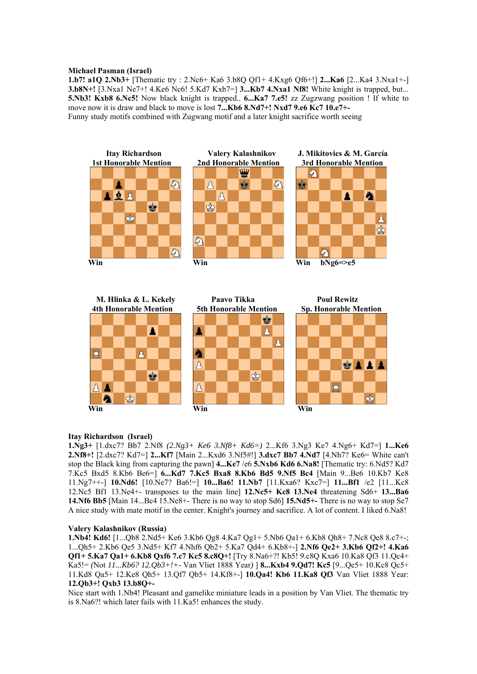#### **Michael Pasman (Israel)**

**1.b7! a1Q 2.Nb3+** [Thematic try : 2.Nc6+ Ka6 3.b8Q Qf1+ 4.Kxg6 Qf6+!] **2...Ka6** [2...Ka4 3.Nxa1+-] **3.b8N+!** [3.Nxa1 Ne7+! 4.Ke6 Nc6! 5.Kd7 Kxb7=] **3...Kb7 4.Nxa1 Nf8!** White knight is trapped, but... **5.Nb3! Kxb8 6.Nc5!** Now black knight is trapped.. **6...Ka7 7.e5!** zz Zugzwang position ! If white to move now it is draw and black to move is lost **7...Kb6 8.Nd7+! Nxd7 9.e6 Kc7 10.e7+-**  Funny study motifs combined with Zugwang motif and a later knight sacrifice worth seeing



#### **Itay Richardson (Israel)**

**1.Ng3+** [1.dxc7? Bb7 2.Nf8 *(2.Ng3+ Ke6 3.Nf8+ Kd6=)* 2...Kf6 3.Ng3 Ke7 4.Ng6+ Kd7=] **1...Ke6 2.Nf8+!** [2.dxc7? Kd7=] **2...Kf7** [Main 2...Kxd6 3.Nf5#!] **3.dxc7 Bb7 4.Nd7** [4.Nh7? Ke6= White can't stop the Black king from capturing the pawn] **4...Ke7** /e6 **5.Nxb6 Kd6 6.Na8!** [Thematic try: 6.Nd5? Kd7 7.Kc5 Bxd5 8.Kb6 Be6=] **6...Kd7 7.Kc5 Bxa8 8.Kb6 Bd5 9.Nf5 Bc4** [Main 9...Be6 10.Kb7 Ke8 11.Ng7++-] **10.Nd6!** [10.Ne7? Ba6!=] **10...Ba6! 11.Nb7** [11.Kxa6? Kxc7=] **11...Bf1** /e2 [11...Kc8 12.Nc5 Bf1 13.Ne4+- transposes to the main line] **12.Nc5+ Kc8 13.Ne4** threatening Sd6+ **13...Ba6 14.Nf6 Bb5** [Main 14...Bc4 15.Ne8+- There is no way to stop Sd6] **15.Nd5+-** There is no way to stop Se7 A nice study with mate motif in the center. Knight's journey and sacrifice. A lot of content. I liked 6.Na8!

#### **Valery Kalashnikov (Russia)**

**1.Nb4! Kd6!** [1...Qb8 2.Nd5+ Ke6 3.Kb6 Qg8 4.Ka7 Qg1+ 5.Nb6 Qa1+ 6.Kb8 Qh8+ 7.Nc8 Qe8 8.c7+-; 1...Qh5+ 2.Kb6 Qe5 3.Nd5+ Kf7 4.Nhf6 Qb2+ 5.Ka7 Qd4+ 6.Kb8+-] **2.Nf6 Qe2+ 3.Kb6 Qf2+! 4.Ka6 Qf1+ 5.Ka7 Qa1+ 6.Kb8 Qxf6 7.c7 Kc5 8.c8Q+!** [Try 8.Na6+?! Kb5! 9.c8Q Kxa6 10.Ka8 Qf3 11.Qc4+ Ka5!= *(*Not *11...Kb6? 12.Qb3+!+-* Van Vliet 1888 Year*)* ] **8...Kxb4 9.Qd7! Kc5** [9...Qe5+ 10.Kc8 Qc5+ 11.Kd8 Qa5+ 12.Ke8 Qh5+ 13.Qf7 Qb5+ 14.Kf8+-] **10.Qa4! Kb6 11.Ka8 Qf3** Van Vliet 1888 Year: **12.Qb3+! Qxb3 13.b8Q+-**

Nice start with 1.Nb4! Pleasant and gamelike miniature leads in a position by Van Vliet. The thematic try is 8.Na6?! which later fails with 11.Ka5! enhances the study.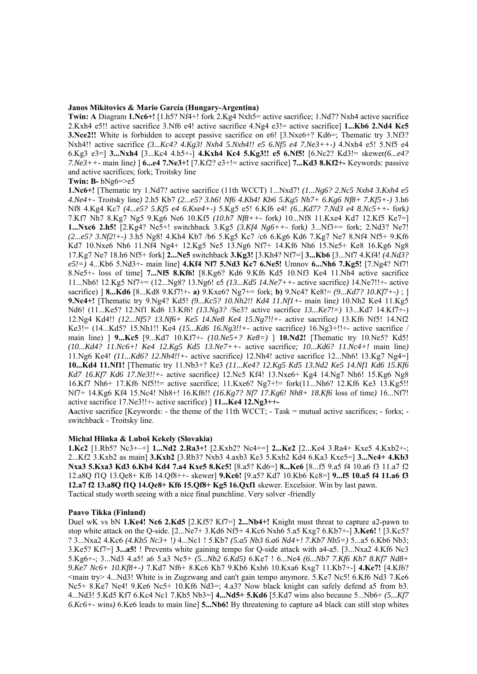#### **Janos Mikitovics & Mario García (Hungary-Argentina)**

**Twin: A** Diagram **1.Nc6+!** [1.h5? Nf4+! fork 2.Kg4 Nxh5= active sacrifice; 1.Nd7? Nxh4 active sacrifice 2.Kxh4 e5!! active sacrifice 3.Nf6 e4! active sacrifice 4.Ng4 e3!= active sacrifice] **1...Kb6 2.Nd4 Kc5 3.Nce2!!** White is forbidden to accept passive sacrifice on e6! [3.Nxe6+? Kd6=; Thematic try 3.Nf3? Nxh4!! active sacrifice *(3...Kc4? 4.Kg3! Nxh4 5.Nxh4!! e5 6.Nf5 e4 7.Ne3++-)* 4.Nxh4 e5! 5.Nf5 e4 6.Kg3 e3=] **3...Nxh4** [3...Kc4 4.h5+-] **4.Kxh4 Kc4 5.Kg3!! e5 6.Nf5!** [6.Nc2? Kd3!= skewer*(6...e4? 7.Ne3++-* main line*)* ] **6...e4 7.Ne3+!** [7.Kf2? e3+!= active sacrifice] **7...Kd3 8.Kf2+-** Keywords: passive and active sacrifices; fork; Troitsky line

#### **Twin: B-** bNg6=>e5

**1.Nc6+!** [Thematic try 1.Nd7? active sacrifice (11th WCCT) 1...Nxd7! *(1...Ng6? 2.Nc5 Nxh4 3.Kxh4 e5 4.Ne4+-* Troitsky line*)* 2.h5 Kb7 *(2...e5? 3.h6! Nf6 4.Kh4! Kb6 5.Kg5 Nh7+ 6.Kg6 Nf8+ 7.Kf5+-)* 3.h6 Nf8 4.Kg4 Kc7 *(4...e5? 5.Kf5 e4 6.Kxe4+-)* 5.Kg5 e5! 6.Kf6 e4! *(6...Kd7? 7.Nd3 e4 8.Nc5++-* fork*)*  7.Kf7 Nh7 8.Kg7 Ng5 9.Kg6 Ne6 10.Kf5 *(10.h7 Nf8++-* fork*)* 10...Nf8 11.Kxe4 Kd7 12.Kf5 Ke7=] **1...Nxc6 2.h5!** [2.Kg4? Ne5+! switchback 3.Kg5 *(3.Kf4 Ng6++-* fork*)* 3...Nf3+= fork; 2.Nd3? Ne7! *(2...e5? 3.Nf2!+-)* 3.h5 Ng8! 4.Kh4 Kb7 /b6 5.Kg5 Kc7 /c6 6.Kg6 Kd6 7.Kg7 Ne7 8.Nf4 Nf5+ 9.Kf6 Kd7 10.Nxe6 Nh6 11.Nf4 Ng4+ 12.Kg5 Ne5 13.Ng6 Nf7+ 14.Kf6 Nh6 15.Ne5+ Ke8 16.Kg6 Ng8 17.Kg7 Ne7 18.h6 Nf5+ fork] **2...Ne5** switchback **3.Kg3!** [3.Kh4? Nf7=] **3...Kb6** [3...Nf7 4.Kf4! *(4.Nd3? e5!=)* 4...Kb6 5.Nd3+- main line] **4.Kf4 Nf7 5.Nd3 Kc7 6.Ne5!** Umnov **6...Nh6 7.Kg5!** [7.Ng4? Nf7! 8.Ne5+- loss of time] **7...Nf5 8.Kf6!** [8.Kg6? Kd6 9.Kf6 Kd5 10.Nf3 Ke4 11.Nh4 active sacrifice 11...Nh6! 12.Kg5 Nf7+= (12...Ng8? 13.Ng6! e5 *(13...Kd5 14.Ne7++-* active sacrifice*)* 14.Ne7!!+- active sacrifice) ] **8...Kd6** [8...Kd8 9.Kf7!+- **a)** 9.Kxe6? Ng7+= fork; **b)** 9.Nc4? Ke8!= *(9...Kd7? 10.Kf7+-)* ; ] **9.Nc4+!** [Thematic try 9.Ng4? Kd5! *(9...Kc5? 10.Nh2!! Kd4 11.Nf1+-* main line*)* 10.Nh2 Ke4 11.Kg5 Nd6! (11...Ke5? 12.Nf1 Kd6 13.Kf6! *(13.Ng3?* /Se3? active sacrifice *13...Ke7!=)* 13...Kd7 14.Kf7+-) 12.Ng4 Kd4!! *(12...Nf5? 13.Nf6+ Ke5 14.Ne8 Ke4 15.Ng7!!+-* active sacrifice*)* 13.Kf6 Nf5! 14.Nf2 Ke3!= (14...Kd5? 15.Nh1!! Ke4 *(15...Kd6 16.Ng3!!+-* active sacrifice*)* 16.Ng3+!!+- active sacrifice / main line) ] **9...Kc5** [9...Kd7 10.Kf7+- *(10.Ne5+? Ke8=)* ] **10.Nd2!** [Thematic try 10.Ne5? Kd5! *(10...Kd4? 11.Nc6+! Ke4 12.Kg5 Kd5 13.Ne7++-* active sacrifice*; 10...Kd6? 11.Nc4+!* main line*)*  11.Ng6 Ke4! *(11...Kd6? 12.Nh4!!+-* active sacrifice*)* 12.Nh4! active sacrifice 12...Nh6! 13.Kg7 Ng4=] **10...Kd4 11.Nf1!** [Thematic try 11.Nb3+? Ke3 *(11...Ke4? 12.Kg5 Kd5 13.Nd2 Ke5 14.Nf1 Kd6 15.Kf6 Kd7 16.Kf7 Kd6 17.Ne3!!+-* active sacrifice*)* 12.Nc5 Kf4! 13.Nxe6+ Kg4 14.Ng7 Nh6! 15.Kg6 Ng8 16.Kf7 Nh6+ 17.Kf6 Nf5!!= active sacrifice; 11.Kxe6? Ng7+!= fork(11...Nh6? 12.Kf6 Ke3 13.Kg5!! Nf7+ 14.Kg6 Kf4 15.Nc4! Nh8+! 16.Kf6!! *(16.Kg7? Nf7 17.Kg6! Nh8+ 18.Kf6* loss of time*)* 16...Nf7! active sacrifice 17.Ne3!!+- active sacrifice) ] **11...Ke4 12.Ng3++-** 

Aactive sacrifice [Keywords: - the theme of the 11th WCCT;  $-$  Task  $=$  mutual active sacrifices;  $-$  forks;  $$ switchback - Troitsky line.

#### **Michal Hlinka & Luboš Kekely (Slovakia)**

**1.Kc2** [1.Rb5? Nc3+–+] **1...Nd2 2.Ra3+!** [2.Kxb2? Nc4+=] **2...Ke2** [2...Ke4 3.Ra4+ Kxe5 4.Kxb2+-; 2...Kf2 3.Kxb2 as main] **3.Kxb2** [3.Rb3? Nxb3 4.axb3 Ke3 5.Kxb2 Kd4 6.Ka3 Kxe5=] **3...Nc4+ 4.Kb3 Nxa3 5.Kxa3 Kd3 6.Kb4 Kd4 7.a4 Kxe5 8.Kc5!** [8.a5? Kd6=] **8...Ke6** [8...f5 9.a5 f4 10.a6 f3 11.a7 f2 12.a8Q f1Q 13.Qe8+ Kf6 14.Qf8++- skewer] **9.Kc6!** [9.a5? Kd7 10.Kb6 Kc8=] **9...f5 10.a5 f4 11.a6 f3 12.a7 f2 13.a8Q f1Q 14.Qe8+ Kf6 15.Qf8+ Kg5 16.Qxf1** skewer. Excelsior. Win by last pawn. Tactical study worth seeing with a nice final punchline. Very solver -friendly

#### **Paavo Tikka (Finland)**

Duel wK vs bN **1.Ke4! Nc6 2.Kd5** [2.Kf5? Kf7=] **2...Nb4+!** Knight must threat to capture a2-pawn to stop white attack on the Q-side. [2...Ne7+ 3.Kd6 Nf5+ 4.Kc6 Nxh6 5.a5 Kxg7 6.Kb7+-] **3.Ke6!** ! [3.Kc5? ? 3...Nxa2 4.Kc6 *(4.Kb5 Nc3+* !*)* 4...Nc1 ! 5.Kb7 *(5.a5 Nb3 6.a6 Nd4+! 7.Kb7 Nb5=)* 5...a5 6.Kb6 Nb3; 3.Ke5? Kf7=] **3...a5!** ! Prevents white gaining tempo for Q-side attack with a4-a5. [3...Nxa2 4.Kf6 Nc3 5.Kg6+-; 3...Nd3 4.a5! a6 5.a3 Nc5+ *(5...Nb2 6.Kd5)* 6.Ke7 ! 6...Ne4 *(6...Nb7 7.Kf6 Kh7 8.Kf7 Nd8+ 9.Ke7 Nc6+ 10.Kf8+-)* 7.Kd7 Nf6+ 8.Kc6 Kh7 9.Kb6 Kxh6 10.Kxa6 Kxg7 11.Kb7+-] **4.Ke7!** [4.Kf6?  $\le$ main try> 4...Nd3! White is in Zugzwang and can't gain tempo anymore. 5.Ke7 Nc5! 6.Kf6 Nd3 7.Ke6 Nc5+ 8.Ke7 Ne4! 9.Ke6 Nc5+ 10.Kf6 Nd3=; 4.a3? Now black knight can safely defend a5 from b3. 4...Nd3! 5.Kd5 Kf7 6.Kc4 Nc1 7.Kb5 Nb3=] **4...Nd5+ 5.Kd6** [5.Kd7 wins also because 5...Nb6+ *(5...Kf7 6.Kc6+-* wins*)* 6.Ke6 leads to main line] **5...Nb6!** By threatening to capture a4 black can still stop whites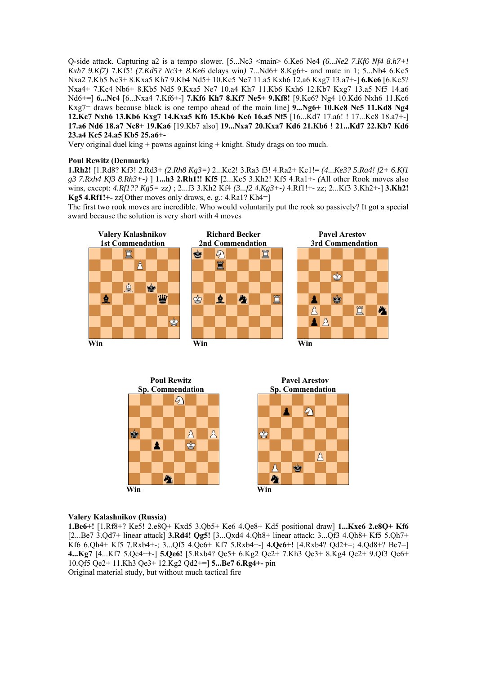Q-side attack. Capturing a2 is a tempo slower. [5...Nc3 <main> 6.Ke6 Ne4 *(6...Ne2 7.Kf6 Nf4 8.h7+! Kxh7 9.Kf7)* 7.Kf5! *(7.Kd5? Nc3+ 8.Ke6* delays win*)* 7...Nd6+ 8.Kg6+- and mate in 1; 5...Nb4 6.Kc5 Nxa2 7.Kb5 Nc3+ 8.Kxa5 Kh7 9.Kb4 Nd5+ 10.Kc5 Ne7 11.a5 Kxh6 12.a6 Kxg7 13.a7+-] **6.Ke6** [6.Kc5? Nxa4+ 7.Kc4 Nb6+ 8.Kb5 Nd5 9.Kxa5 Ne7 10.a4 Kh7 11.Kb6 Kxh6 12.Kb7 Kxg7 13.a5 Nf5 14.a6 Nd6+=] **6...Nc4** [6...Nxa4 7.Kf6+-] **7.Kf6 Kh7 8.Kf7 Ne5+ 9.Kf8!** [9.Ke6? Ng4 10.Kd6 Nxh6 11.Kc6 Kxg7= draws because black is one tempo ahead of the main line] **9...Ng6+ 10.Ke8 Ne5 11.Kd8 Ng4 12.Kc7 Nxh6 13.Kb6 Kxg7 14.Kxa5 Kf6 15.Kb6 Ke6 16.a5 Nf5** [16...Kd7 17.a6! ! 17...Kc8 18.a7+-] **17.a6 Nd6 18.a7 Nc8+ 19.Ka6** [19.Kb7 also] **19...Nxa7 20.Kxa7 Kd6 21.Kb6** ! **21...Kd7 22.Kb7 Kd6 23.a4 Kc5 24.a5 Kb5 25.a6+-**

Very original duel king  $+$  pawns against king  $+$  knight. Study drags on too much.

## **Poul Rewitz (Denmark)**

**1.Rh2!** [1.Rd8? Kf3! 2.Rd3+ *(2.Rh8 Kg3=)* 2...Ke2! 3.Ra3 f3! 4.Ra2+ Ke1!= *(4...Ke3? 5.Ra4! f2+ 6.Kf1 g3 7.Rxh4 Kf3 8.Rh3+-)* ] **1...h3 2.Rh1!! Kf5** [2...Ke5 3.Kh2! Kf5 4.Ra1+- *(*All other Rook moves also wins, except: *4.Rf1?? Kg5=* zz*)* ; 2...f3 3.Kh2 Kf4 *(3...f2 4.Kg3+-)* 4.Rf1!+- zz; 2...Kf3 3.Kh2+-] **3.Kh2! Kg5 4.Rf1!+-** zz[Other moves only draws, e. g.: 4.Ra1? Kh4=]

The first two rook moves are incredible. Who would voluntarily put the rook so passively? It got a special award because the solution is very short with 4 moves





#### **Valery Kalashnikov (Russia)**

**1.Be6+!** [1.Rf8+? Ke5! 2.e8Q+ Kxd5 3.Qb5+ Ke6 4.Qe8+ Kd5 positional draw] **1...Kxe6 2.e8Q+ Kf6**  [2...Be7 3.Qd7+ linear attack] **3.Rd4! Qg5!** [3...Qxd4 4.Qh8+ linear attack; 3...Qf3 4.Qh8+ Kf5 5.Qh7+ Kf6 6.Qh4+ Kf5 7.Rxb4+-; 3...Qf5 4.Qc6+ Kf7 5.Rxb4+-] **4.Qc6+!** [4.Rxb4? Qd2+=; 4.Qd8+? Be7=] **4...Kg7** [4...Kf7 5.Qc4++-] **5.Qe6!** [5.Rxb4? Qe5+ 6.Kg2 Qe2+ 7.Kh3 Qe3+ 8.Kg4 Qe2+ 9.Qf3 Qe6+ 10.Qf5 Qe2+ 11.Kh3 Qe3+ 12.Kg2 Qd2+=] **5...Be7 6.Rg4+-** pin Original material study, but without much tactical fire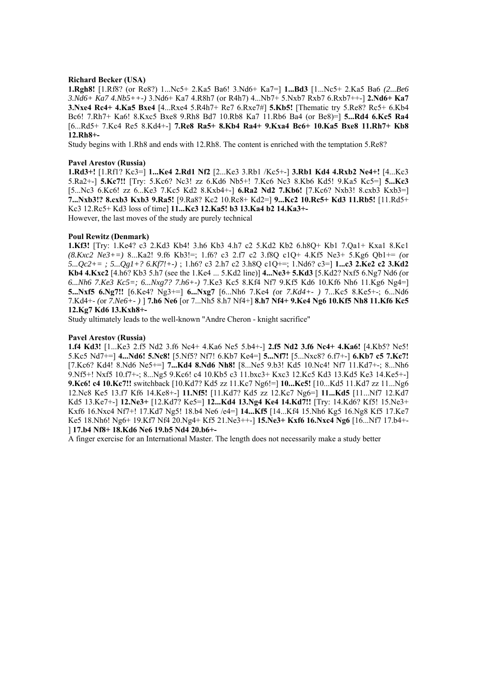#### **Richard Becker (USA)**

**1.Rgh8!** [1.Rf8? (or Re8?) 1...Nc5+ 2.Ka5 Ba6! 3.Nd6+ Ka7=] **1...Bd3** [1...Nc5+ 2.Ka5 Ba6 *(2...Be6 3.Nd6+ Ka7 4.Nb5++-)* 3.Nd6+ Ka7 4.R8h7 (or R4h7) 4...Nb7+ 5.Nxb7 Rxb7 6.Rxb7++-] **2.Nd6+ Ka7 3.Nxe4 Rc4+ 4.Ka5 Bxe4** [4...Rxe4 5.R4h7+ Re7 6.Rxe7#] **5.Kb5!** [Thematic try 5.Re8? Rc5+ 6.Kb4 Bc6! 7.Rh7+ Ka6! 8.Kxc5 Bxe8 9.Rh8 Bd7 10.Rb8 Ka7 11.Rb6 Ba4 (or Be8)=] **5...Rd4 6.Kc5 Ra4**  [6...Rd5+ 7.Kc4 Re5 8.Kd4+-] **7.Re8 Ra5+ 8.Kb4 Ra4+ 9.Kxa4 Bc6+ 10.Ka5 Bxe8 11.Rh7+ Kb8 12.Rh8+-**

Study begins with 1.Rh8 and ends with 12.Rh8. The content is enriched with the temptation 5.Re8?

## **Pavel Arestov (Russia)**

**1.Rd3+!** [1.Rf1? Kc3=] **1...Ke4 2.Rd1 Nf2** [2...Ke3 3.Rb1 /Kc5+-] **3.Rb1 Kd4 4.Rxb2 Ne4+!** [4...Kc3 5.Ra2+-] **5.Kc7!!** [Try: 5.Kc6? Nc3! zz 6.Kd6 Nb5+! 7.Kc6 Nc3 8.Kb6 Kd5! 9.Ka5 Kc5=] **5...Kc3**  [5...Nc3 6.Kc6! zz 6...Ke3 7.Kc5 Kd2 8.Kxb4+-] **6.Ra2 Nd2 7.Kb6!** [7.Kc6? Nxb3! 8.cxb3 Kxb3=] **7...Nxb3!? 8.cxb3 Kxb3 9.Ra5!** [9.Ra8? Kc2 10.Rc8+ Kd2=] **9...Kc2 10.Rc5+ Kd3 11.Rb5!** [11.Rd5+ Kc3 12.Rc5+ Kd3 loss of time] **11...Kc3 12.Ka5! b3 13.Ka4 b2 14.Ka3+-** However, the last moves of the study are purely technical

## **Poul Rewitz (Denmark)**

**1.Kf3!** [Try: 1.Ke4? c3 2.Kd3 Kb4! 3.h6 Kb3 4.h7 c2 5.Kd2 Kb2 6.h8Q+ Kb1 7.Qa1+ Kxa1 8.Kc1 *(8.Kxc2 Ne3+=)* 8...Ka2! 9.f6 Kb3!=; 1.f6? c3 2.f7 c2 3.f8Q c1Q+ 4.Kf5 Ne3+ 5.Kg6 Qb1+= *(*or *5...Qc2+= ; 5...Qg1+? 6.Kf7!+-)* ; 1.h6? c3 2.h7 c2 3.h8Q c1Q+=; 1.Nd6? c3=] **1...c3 2.Ke2 c2 3.Kd2 Kb4 4.Kxc2** [4.h6? Kb3 5.h7 (see the 1.Ke4 ... 5.Kd2 line)] **4...Ne3+ 5.Kd3** [5.Kd2? Nxf5 6.Ng7 Nd6 *(*or *6...Nh6 7.Ke3 Kc5=; 6...Nxg7? 7.h6+-)* 7.Ke3 Kc5 8.Kf4 Nf7 9.Kf5 Kd6 10.Kf6 Nh6 11.Kg6 Ng4=] **5...Nxf5 6.Ng7!!** [6.Ke4? Ng3+=] **6...Nxg7** [6...Nh6 7.Ke4 *(*or *7.Kd4+- )* 7...Kc5 8.Ke5+-; 6...Nd6 7.Kd4+- *(*or *7.Ne6+- )* ] **7.h6 Ne6** [or 7...Nh5 8.h7 Nf4+] **8.h7 Nf4+ 9.Ke4 Ng6 10.Kf5 Nh8 11.Kf6 Kc5 12.Kg7 Kd6 13.Kxh8+-** 

Study ultimately leads to the well-known "Andre Cheron - knight sacrifice"

## **Pavel Arestov (Russia)**

**1.f4 Kd3!** [1...Ke3 2.f5 Nd2 3.f6 Nc4+ 4.Ka6 Ne5 5.b4+-] **2.f5 Nd2 3.f6 Nc4+ 4.Ka6!** [4.Kb5? Ne5! 5.Kc5 Nd7+=] **4...Nd6! 5.Nc8!** [5.Nf5? Nf7! 6.Kb7 Ke4=] **5...Nf7!** [5...Nxc8? 6.f7+-] **6.Kb7 c5 7.Kc7!**  [7.Kc6? Kd4! 8.Nd6 Ne5+=] **7...Kd4 8.Nd6 Nh8!** [8...Ne5 9.b3! Kd5 10.Nc4! Nf7 11.Kd7+-; 8...Nh6 9.Nf5+! Nxf5 10.f7+-; 8...Ng5 9.Kc6! c4 10.Kb5 c3 11.bxc3+ Kxc3 12.Kc5 Kd3 13.Kd5 Ke3 14.Ke5+-] **9.Kc6! c4 10.Kc7!!** switchback [10.Kd7? Kd5 zz 11.Kc7 Ng6!=] **10...Kc5!** [10...Kd5 11.Kd7 zz 11...Ng6 12.Nc8 Ke5 13.f7 Kf6 14.Ke8+-] **11.Nf5!** [11.Kd7? Kd5 zz 12.Kc7 Ng6=] **11...Kd5** [11...Nf7 12.Kd7 Kd5 13.Ke7+-] **12.Ne3+** [12.Kd7? Ke5=] **12...Kd4 13.Ng4 Ke4 14.Kd7!!** [Try: 14.Kd6? Kf5! 15.Ne3+ Kxf6 16.Nxc4 Nf7+! 17.Kd7 Ng5! 18.b4 Ne6 /e4=] **14...Kf5** [14...Kf4 15.Nh6 Kg5 16.Ng8 Kf5 17.Ke7 Ke5 18.Nh6! Ng6+ 19.Kf7 Nf4 20.Ng4+ Kf5 21.Ne3++-] **15.Ne3+ Kxf6 16.Nxc4 Ng6** [16...Nf7 17.b4+- ] **17.b4 Nf8+ 18.Kd6 Ne6 19.b5 Nd4 20.b6+-** 

A finger exercise for an International Master. The length does not necessarily make a study better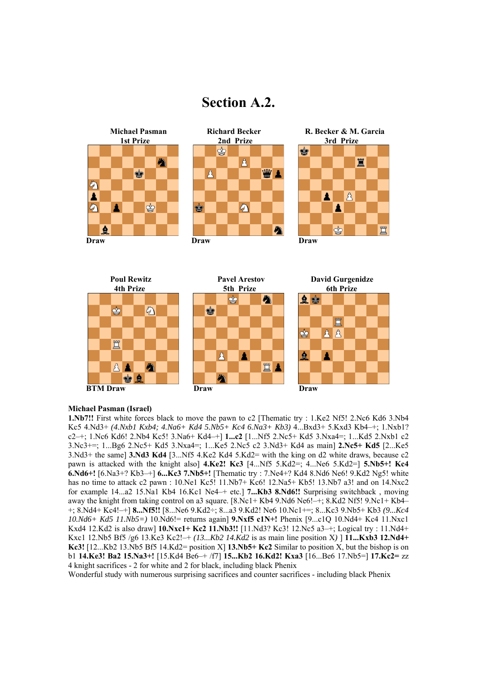## **Section A.2.**





## **Michael Pasman (Israel)**

**1.Nb7!!** First white forces black to move the pawn to c2 [Thematic try : 1.Ke2 Nf5! 2.Nc6 Kd6 3.Nb4 Kc5 4.Nd3+ *(4.Nxb1 Kxb4; 4.Na6+ Kd4 5.Nb5+ Kc4 6.Na3+ Kb3)* 4...Bxd3+ 5.Kxd3 Kb4–+; 1.Nxb1? c2–+; 1.Nc6 Kd6! 2.Nb4 Kc5! 3.Na6+ Kd4–+] **1...c2** [1...Nf5 2.Nc5+ Kd5 3.Nxa4=; 1...Kd5 2.Nxb1 c2 3.Nc3+=; 1...Bg6 2.Nc5+ Kd5 3.Nxa4=; 1...Ke5 2.Nc5 c2 3.Nd3+ Kd4 as main] **2.Nc5+ Kd5** [2...Ke5 3.Nd3+ the same] **3.Nd3 Kd4** [3...Nf5 4.Ke2 Kd4 5.Kd2= with the king on d2 white draws, because c2 pawn is attacked with the knight also] **4.Ke2! Kc3** [4...Nf5 5.Kd2=; 4...Ne6 5.Kd2=] **5.Nb5+! Kc4 6.Nd6+!** [6.Na3+? Kb3–+] **6...Kc3 7.Nb5+!** [Thematic try : 7.Ne4+? Kd4 8.Nd6 Ne6! 9.Kd2 Ng5! white has no time to attack c2 pawn : 10.Ne1 Kc5! 11.Nb7+ Kc6! 12.Na5+ Kb5! 13.Nb7 a3! and on 14.Nxc2 for example 14...a2 15.Na1 Kb4 16.Kc1 Ne4–+ etc.] **7...Kb3 8.Nd6!!** Surprising switchback , moving away the knight from taking control on a3 square. [8.Nc1+ Kb4 9.Nd6 Ne6!–+; 8.Kd2 Nf5! 9.Nc1+ Kb4– +; 8.Nd4+ Kc4!–+] **8...Nf5!!** [8...Ne6 9.Kd2÷; 8...a3 9.Kd2! Ne6 10.Nc1+=; 8...Kc3 9.Nb5+ Kb3 *(9...Kc4 10.Nd6+ Kd5 11.Nb5=)* 10.Nd6!= returns again] **9.Nxf5 c1N+!** Phenix [9...c1Q 10.Nd4+ Kc4 11.Nxc1 Kxd4 12.Kd2 is also draw] **10.Nxc1+ Kc2 11.Nb3!!** [11.Nd3? Kc3! 12.Nc5 a3–+; Logical try : 11.Nd4+ Kxc1 12.Nb5 Bf5 /g6 13.Ke3 Kc2!–+ *(13...Kb2 14.Kd2* is as main line position X*)* ] **11...Kxb3 12.Nd4+ Kc3!** [12...Kb2 13.Nb5 Bf5 14.Kd2= position X] **13.Nb5+ Kc2** Similar to position X, but the bishop is on b1 **14.Ke3! Ba2 15.Na3+!** [15.Kd4 Be6–+ /f7] **15...Kb2 16.Kd2! Kxa3** [16...Be6 17.Nb5=] **17.Kc2=** zz 4 knight sacrifices - 2 for white and 2 for black, including black Phenix

Wonderful study with numerous surprising sacrifices and counter sacrifices - including black Phenix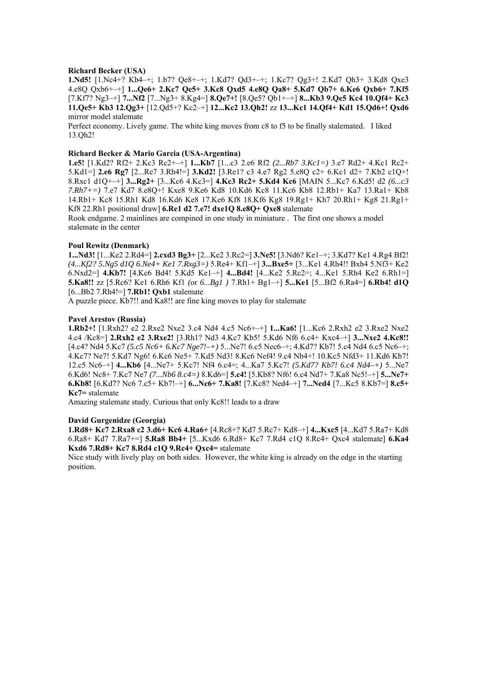### **Richard Becker (USA)**

**1.Nd5!** [1.Nc4+? Kb4–+; 1.b7? Qe8+–+; 1.Kd7? Qd3+–+; 1.Kc7? Qg3+! 2.Kd7 Qh3+ 3.Kd8 Qxe3 4.e8Q Qxb6+–+] **1...Qe6+ 2.Kc7 Qe5+ 3.Kc8 Qxd5 4.e8Q Qa8+ 5.Kd7 Qb7+ 6.Ke6 Qxb6+ 7.Kf5**  [7.Kf7? Ng3–+] **7...Nf2** [7...Ng3+ 8.Kg4=] **8.Qe7+!** [8.Qe5? Qb1+–+] **8...Kb3 9.Qe5 Kc4 10.Qf4+ Kc3 11.Qe5+ Kb3 12.Qg3+** [12.Qd5+? Kc2–+] **12...Kc2 13.Qh2!** zz **13...Kc1 14.Qf4+ Kd1 15.Qd6+! Qxd6**  mirror model stalemate

Perfect economy. Lively game. The white king moves from c8 to f5 to be finally stalemated. I liked 13.Qh2!

### **Richard Becker & Mario Garcia (USA-Argentina)**

**1.e5!** [1.Kd2? Rf2+ 2.Kc3 Rc2+–+] **1...Kb7** [1...c3 2.e6 Rf2 *(2...Rb7 3.Kc1=)* 3.e7 Rd2+ 4.Kc1 Rc2+ 5.Kd1=] **2.e6 Rg7** [2...Re7 3.Rh4!=] **3.Kd2!** [3.Re1? c3 4.e7 Rg2 5.e8Q c2+ 6.Kc1 d2+ 7.Kb2 c1Q+! 8.Rxc1 d1Q+–+] **3...Rg2+** [3...Kc6 4.Kc3=] **4.Kc3 Rc2+ 5.Kd4 Kc6** [MAIN 5...Kc7 6.Kd5! d2 *(6...c3 7.Rh7+=)* 7.e7 Kd7 8.e8Q+! Kxe8 9.Ke6 Kd8 10.Kd6 Kc8 11.Kc6 Kb8 12.Rb1+ Ka7 13.Ra1+ Kb8 14.Rb1+ Kc8 15.Rh1 Kd8 16.Kd6 Ke8 17.Ke6 Kf8 18.Kf6 Kg8 19.Rg1+ Kh7 20.Rh1+ Kg8 21.Rg1+ Kf8 22.Rh1 positional draw] **6.Re1 d2 7.e7! dxe1Q 8.e8Q+ Qxe8** stalemate

Rook endgame. 2 mainlines are compined in one study in miniature . The first one shows a model stalemate in the center

#### **Poul Rewitz (Denmark)**

**1...Nd3!** [1...Ke2 2.Rd4=] **2.cxd3 Bg3+** [2...Ke2 3.Rc2=] **3.Ne5!** [3.Nd6? Ke1–+; 3.Kd7? Ke1 4.Rg4 Bf2! *(4...Kf2? 5.Ng5 d1Q 6.Ne4+ Ke1 7.Rxg3=)* 5.Re4+ Kf1–+] **3...Bxe5+** [3...Ke1 4.Rh4!! Bxh4 5.Nf3+ Ke2 6.Nxd2=] **4.Kb7!** [4.Kc6 Bd4! 5.Kd5 Ke1–+] **4...Bd4!** [4...Ke2 5.Rc2=; 4...Ke1 5.Rh4 Ke2 6.Rh1=] **5.Ka8!!** zz [5.Rc6? Ke1 6.Rh6 Kf1 *(*or *6...Bg1 )* 7.Rh1+ Bg1–+] **5...Ke1** [5...Bf2 6.Ra4=] **6.Rb4! d1Q**  [6...Bb2 7.Rh4!=] **7.Rb1! Qxb1** stalemate

A puzzle piece. Kb7!! and Ka8!! are fine king moves to play for stalemate

#### **Pavel Arestov (Russia)**

**1.Rb2+!** [1.Rxh2? e2 2.Rxe2 Nxe2 3.c4 Nd4 4.c5 Nc6+–+] **1...Ka6!** [1...Kc6 2.Rxh2 e2 3.Rxe2 Nxe2 4.c4 /Kc8=] **2.Rxh2 e2 3.Rxe2!** [3.Rh1? Nd3 4.Kc7 Kb5! 5.Kd6 Nf6 6.c4+ Kxc4–+] **3...Nxe2 4.Kc8!!**  [4.c4? Nd4 5.Kc7 *(5.c5 Nc6+ 6.Kc7 Nge7!–+)* 5...Ne7! 6.c5 Nec6–+; 4.Kd7? Kb7! 5.c4 Nd4 6.c5 Nc6–+; 4.Kc7? Ne7! 5.Kd7 Ng6! 6.Kc6 Ne5+ 7.Kd5 Nd3! 8.Kc6 Nef4! 9.c4 Nb4+! 10.Kc5 Nfd3+ 11.Kd6 Kb7! 12.c5 Nc6–+] **4...Kb6** [4...Ne7+ 5.Kc7! Nf4 6.c4=; 4...Ka7 5.Kc7! *(5.Kd7? Kb7! 6.c4 Nd4–+)* 5...Ne7 6.Kd6! Nc8+ 7.Kc7 Ne7 *(7...Nb6 8.c4=)* 8.Kd6=] **5.c4!** [5.Kb8? Nf6! 6.c4 Nd7+ 7.Ka8 Nc5!–+] **5...Ne7+ 6.Kb8!** [6.Kd7? Nc6 7.c5+ Kb7!–+] **6...Nc6+ 7.Ka8!** [7.Kc8? Ned4–+] **7...Ned4** [7...Kc5 8.Kb7=] **8.c5+ Kc7=** stalemate

Amazing stalemate study. Curious that only Kc8!! leads to a draw

#### **David Gurgenidze (Georgia)**

**1.Rd8+ Kc7 2.Rxa8 c2 3.d6+ Kc6 4.Ra6+** [4.Rc8+? Kd7 5.Rc7+ Kd8–+] **4...Kxc5** [4...Kd7 5.Ra7+ Kd8 6.Ra8+ Kd7 7.Ra7+=] **5.Ra8 Bb4+** [5...Kxd6 6.Rd8+ Kc7 7.Rd4 c1Q 8.Rc4+ Qxc4 stalemate] **6.Ka4 Kxd6 7.Rd8+ Kc7 8.Rd4 c1Q 9.Rc4+ Qxc4=** stalemate

Nice study with lively play on both sides. However, the white king is already on the edge in the starting position.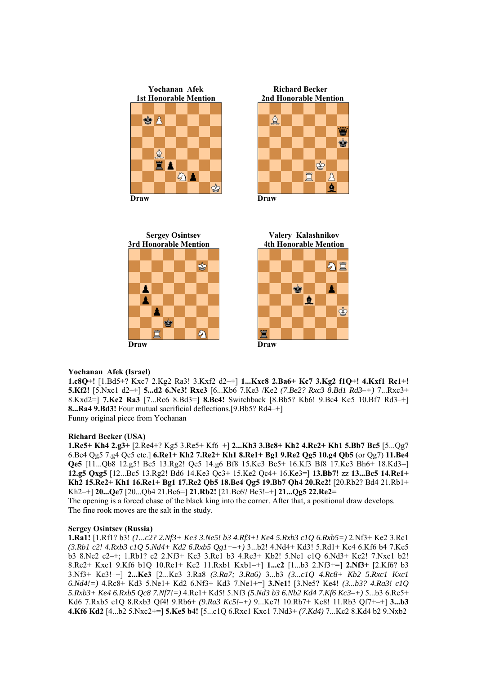

☝ ġ ♔ 罝 Å ₫



#### **Yochanan Afek (Israel)**

**1.c8Q+!** [1.Bd5+? Kxc7 2.Kg2 Ra3! 3.Kxf2 d2–+] **1...Kxc8 2.Ba6+ Kc7 3.Kg2 f1Q+! 4.Kxf1 Rc1+! 5.Kf2!** [5.Nxc1 d2–+] **5...d2 6.Nc3! Rxc3** [6...Kb6 7.Ke3 /Ke2 *(7.Be2? Rxc3 8.Bd1 Rd3–+)* 7...Rxc3+ 8.Kxd2=] **7.Ke2 Ra3** [7...Rc6 8.Bd3=] **8.Bc4!** Switchback [8.Bb5? Kb6! 9.Bc4 Kc5 10.Bf7 Rd3–+] **8...Ra4 9.Bd3!** Four mutual sacrificial deflections.[9.Bb5? Rd4–+] Funny original piece from Yochanan

## **Richard Becker (USA)**

**1.Re5+ Kh4 2.g3+** [2.Re4+? Kg5 3.Re5+ Kf6–+] **2...Kh3 3.Bc8+ Kh2 4.Re2+ Kh1 5.Bb7 Bc5** [5...Qg7 6.Be4 Qg5 7.g4 Qe5 etc.] **6.Re1+ Kh2 7.Re2+ Kh1 8.Re1+ Bg1 9.Re2 Qg5 10.g4 Qb5** (or Qg7) **11.Be4 Qe5** [11...Qb8 12.g5! Bc5 13.Rg2! Qe5 14.g6 Bf8 15.Ke3 Bc5+ 16.Kf3 Bf8 17.Ke3 Bh6+ 18.Kd3=] **12.g5 Qxg5** [12...Bc5 13.Rg2! Bd6 14.Ke3 Qc3+ 15.Ke2 Qc4+ 16.Ke3=] **13.Bb7!** zz **13...Bc5 14.Re1+ Kh2 15.Re2+ Kh1 16.Re1+ Bg1 17.Re2 Qb5 18.Be4 Qg5 19.Bb7 Qh4 20.Rc2!** [20.Rb2? Bd4 21.Rb1+ Kh2–+] **20...Qe7** [20...Qb4 21.Bc6=] **21.Rb2!** [21.Bc6? Be3!–+] **21...Qg5 22.Re2=** 

The opening is a forced chase of the black king into the corner. After that, a positional draw develops. The fine rook moves are the salt in the study.

#### **Sergey Osintsev (Russia)**

**1.Ra1!** [1.Rf1? b3! *(1...c2? 2.Nf3+ Ke3 3.Ne5! b3 4.Rf3+! Ke4 5.Rxb3 c1Q 6.Rxb5=)* 2.Nf3+ Ke2 3.Rc1 *(3.Rb1 c2! 4.Rxb3 c1Q 5.Nd4+ Kd2 6.Rxb5 Qg1+–+)* 3...b2! 4.Nd4+ Kd3! 5.Rd1+ Kc4 6.Kf6 b4 7.Ke5 b3 8.Ne2 c2–+; 1.Rb1? c2 2.Nf3+ Kc3 3.Re1 b3 4.Re3+ Kb2! 5.Ne1 c1Q 6.Nd3+ Kc2! 7.Nxc1 b2! 8.Re2+ Kxc1 9.Kf6 b1Q 10.Re1+ Kc2 11.Rxb1 Kxb1–+] **1...c2** [1...b3 2.Nf3+=] **2.Nf3+** [2.Kf6? b3 3.Nf3+ Kc3!–+] **2...Ke3** [2...Kc3 3.Ra8 *(3.Ra7; 3.Ra6)* 3...b3 *(3...c1Q 4.Rc8+ Kb2 5.Rxc1 Kxc1 6.Nd4!=)* 4.Rc8+ Kd3 5.Ne1+ Kd2 6.Nf3+ Kd3 7.Ne1+=] **3.Ne1!** [3.Ne5? Ke4! *(3...b3? 4.Ra3! c1Q 5.Rxb3+ Ke4 6.Rxb5 Qc8 7.Nf7!=)* 4.Re1+ Kd5! 5.Nf3 *(5.Nd3 b3 6.Nb2 Kd4 7.Kf6 Kc3–+)* 5...b3 6.Re5+ Kd6 7.Rxb5 c1Q 8.Rxb3 Qf4! 9.Rb6+ *(9.Ra3 Kc5!–+)* 9...Ke7! 10.Rb7+ Ke8! 11.Rb3 Qf7+–+] **3...b3 4.Kf6 Kd2** [4...b2 5.Nxc2+=] **5.Ke5 b4!** [5...c1Q 6.Rxc1 Kxc1 7.Nd3+ *(7.Kd4)* 7...Kc2 8.Kd4 b2 9.Nxb2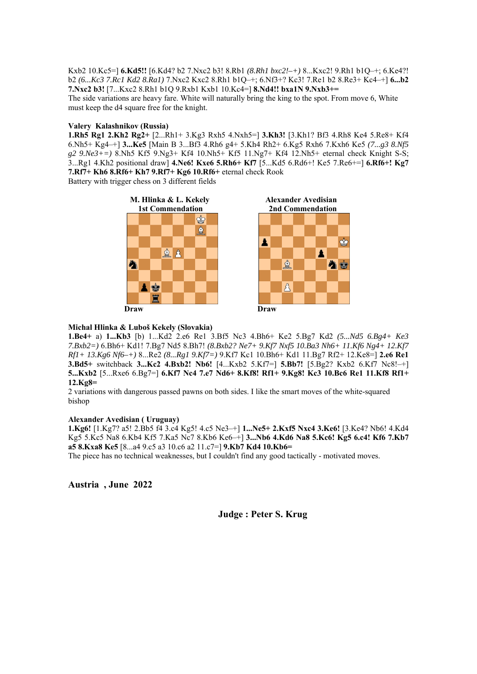Kxb2 10.Kc5=] **6.Kd5!!** [6.Kd4? b2 7.Nxc2 b3! 8.Rb1 *(8.Rh1 bxc2!–+)* 8...Kxc2! 9.Rh1 b1Q–+; 6.Ke4?! b2 *(6...Kc3 7.Rc1 Kd2 8.Ra1)* 7.Nxc2 Kxc2 8.Rh1 b1Q–+; 6.Nf3+? Kc3! 7.Re1 b2 8.Re3+ Kc4–+] **6...b2 7.Nxc2 b3!** [7...Kxc2 8.Rh1 b1Q 9.Rxb1 Kxb1 10.Kc4=] **8.Nd4!! bxa1N 9.Nxb3+=**  The side variations are heavy fare. White will naturally bring the king to the spot. From move 6, White must keep the d4 square free for the knight.

## **Valery Kalashnikov (Russia)**

**1.Rh5 Rg1 2.Kh2 Rg2+** [2...Rh1+ 3.Kg3 Rxh5 4.Nxh5=] **3.Kh3!** [3.Kh1? Bf3 4.Rh8 Ke4 5.Re8+ Kf4 6.Nh5+ Kg4–+] **3...Ke5** [Main B 3...Bf3 4.Rh6 g4+ 5.Kh4 Rh2+ 6.Kg5 Rxh6 7.Kxh6 Ke5 *(7...g3 8.Nf5 g2 9.Ne3+=)* 8.Nh5 Kf5 9.Ng3+ Kf4 10.Nh5+ Kf5 11.Ng7+ Kf4 12.Nh5+ eternal check Knight S-S; 3...Rg1 4.Kh2 positional draw] **4.Ne6! Kxe6 5.Rh6+ Kf7** [5...Kd5 6.Rd6+! Ke5 7.Re6+=] **6.Rf6+! Kg7 7.Rf7+ Kh6 8.Rf6+ Kh7 9.Rf7+ Kg6 10.Rf6+** eternal check Rook

Battery with trigger chess on 3 different fields







## **Michal Hlinka & Luboš Kekely (Slovakia)**

**1.Be4+** a) **1...Kb3** [b) 1...Kd2 2.e6 Re1 3.Bf5 Nc3 4.Bh6+ Ke2 5.Bg7 Kd2 *(5...Nd5 6.Bg4+ Ke3 7.Bxb2=)* 6.Bh6+ Kd1! 7.Bg7 Nd5 8.Bh7! *(8.Bxb2? Ne7+ 9.Kf7 Nxf5 10.Ba3 Nh6+ 11.Kf6 Ng4+ 12.Kf7 Rf1+ 13.Kg6 Nf6–+)* 8...Re2 *(8...Rg1 9.Kf7=)* 9.Kf7 Kc1 10.Bh6+ Kd1 11.Bg7 Rf2+ 12.Ke8=] **2.e6 Re1 3.Bd5+** switchback **3...Kc2 4.Bxb2! Nb6!** [4...Kxb2 5.Kf7=] **5.Bb7!** [5.Bg2? Kxb2 6.Kf7 Nc8!–+] **5...Kxb2** [5...Rxe6 6.Bg7=] **6.Kf7 Nc4 7.e7 Nd6+ 8.Kf8! Rf1+ 9.Kg8! Kc3 10.Bc6 Re1 11.Kf8 Rf1+ 12.Kg8=**

2 variations with dangerous passed pawns on both sides. I like the smart moves of the white-squared bishop

## **Alexander Avedisian ( Uruguay)**

**1.Kg6!** [1.Kg7? a5! 2.Bb5 f4 3.c4 Kg5! 4.c5 Ne3–+] **1...Ne5+ 2.Kxf5 Nxc4 3.Ke6!** [3.Ke4? Nb6! 4.Kd4 Kg5 5.Kc5 Na8 6.Kb4 Kf5 7.Ka5 Nc7 8.Kb6 Ke6–+] **3...Nb6 4.Kd6 Na8 5.Kc6! Kg5 6.c4! Kf6 7.Kb7 a5 8.Kxa8 Ke5** [8...a4 9.c5 a3 10.c6 a2 11.c7=] **9.Kb7 Kd4 10.Kb6=**

The piece has no technical weaknesses, but I couldn't find any good tactically - motivated moves.

**Austria , June 2022** 

**Judge : Peter S. Krug**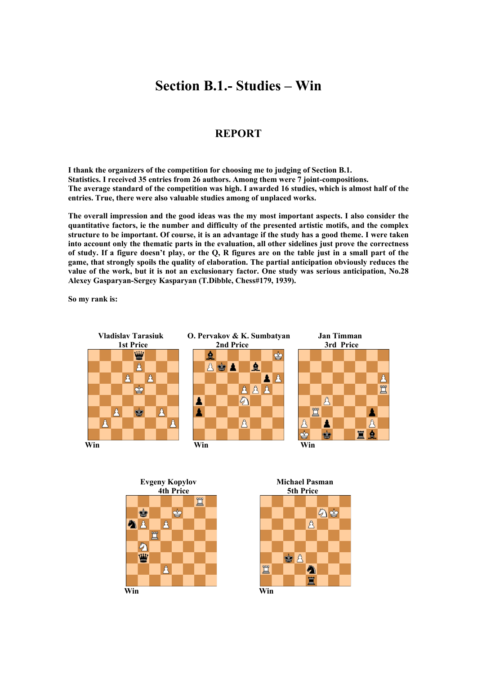## **Section B.1.- Studies – Win**

## **REPORT**

**I thank the organizers of the competition for choosing me to judging of Section B.1. Statistics. I received 35 entries from 26 authors. Among them were 7 joint-compositions. The average standard of the competition was high. I awarded 16 studies, which is almost half of the entries. True, there were also valuable studies among of unplaced works.**

**The overall impression and the good ideas was the my most important aspects. I also consider the quantitative factors, ie the number and difficulty of the presented artistic motifs, and the complex structure to be important. Of course, it is an advantage if the study has a good theme. I were taken into account only the thematic parts in the evaluation, all other sidelines just prove the correctness of study. If a figure doesn't play, or the Q, R figures are on the table just in a small part of the game, that strongly spoils the quality of elaboration. The partial anticipation obviously reduces the value of the work, but it is not an exclusionary factor. One study was serious anticipation, No.28 Alexey Gasparyan-Sergey Kasparyan (T.Dibble, Chess#179, 1939).** 

**So my rank is:** 





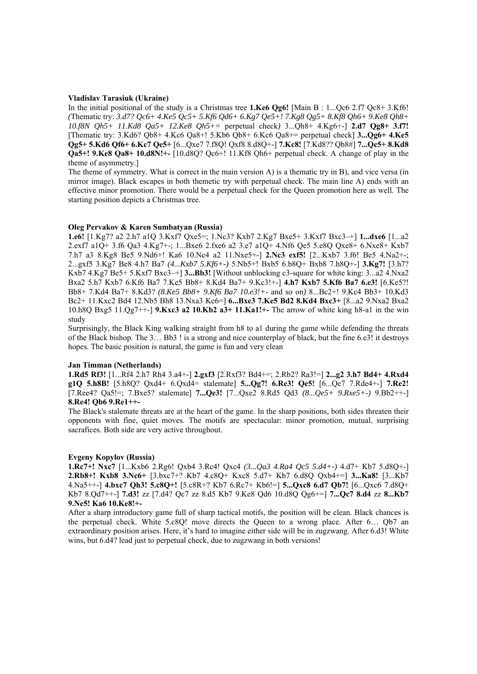## **Vladislav Tarasiuk (Ukraine)**

In the initial positional of the study is a Christmas tree **1.Ke6 Qg6!** [Main B : 1...Qc6 2.f7 Qc8+ 3.Kf6! *(*Thematic try: *3.d7? Qc6+ 4.Ke5 Qc5+ 5.Kf6 Qd6+ 6.Kg7 Qe5+! 7.Kg8 Qg5+ 8.Kf8 Qh6+ 9.Ke8 Qh8+ 10.f8N Qh5+ 11.Kd8 Qa5+ 12.Ke8 Qh5+=* perpetual check*)* 3...Qh8+ 4.Kg6+-] **2.d7 Qg8+ 3.f7!**  [Thematic try: 3.Kd6? Qb8+ 4.Kc6 Qa8+! 5.Kb6 Qb8+ 6.Kc6 Qa8+= perpetual check] **3...Qg6+ 4.Ke5 Qg5+ 5.Kd6 Qf6+ 6.Kc7 Qe5+** [6...Qxe7 7.f8Q! Qxf8 8.d8Q+-] **7.Kc8!** [7.Kd8?? Qb8#] **7...Qc5+ 8.Kd8 Qa5+! 9.Ke8 Qa8+ 10.d8N!+-** [10.d8Q? Qc6+! 11.Kf8 Qh6+ perpetual check. A change of play in the theme of asymmetry.]

The theme of symmetry. What is correct in the main version A) is a thematic try in B), and vice versa (in mirror image). Black escapes in both themetic try with perpetual check. The main line A) ends with an effective minor promotion. There would be a perpetual check for the Queen promotion here as well. The starting position depicts a Christmas tree.

#### **Oleg Pervakov & Karen Sumbatyan (Russia)**

**1.e6!** [1.Kg7? a2 2.h7 a1Q 3.Kxf7 Qxe5=; 1.Nc3? Kxb7 2.Kg7 Bxe5+ 3.Kxf7 Bxc3–+] **1...dxe6** [1...a2 2.exf7 a1Q+ 3.f6 Qa3 4.Kg7+-; 1...Bxe6 2.fxe6 a2 3.e7 a1Q+ 4.Nf6 Qe5 5.e8Q Qxe8+ 6.Nxe8+ Kxb7 7.h7 a3 8.Kg8 Be5 9.Nd6+! Ka6 10.Nc4 a2 11.Nxe5+-] **2.Nc3 exf5!** [2...Kxb7 3.f6! Be5 4.Na2+-; 2...gxf5 3.Kg7 Be8 4.h7 Ba7 *(4...Kxb7 5.Kf6+-)* 5.Nb5+! Bxb5 6.b8Q+ Bxb8 7.h8Q+-] **3.Kg7!** [3.h7? Kxb7 4.Kg7 Be5+ 5.Kxf7 Bxc3–+] **3...Bb3!** [Without unblocking c3-square for white king: 3...a2 4.Nxa2 Bxa2 5.h7 Kxb7 6.Kf6 Ba7 7.Ke5 Bb8+ 8.Kd4 Ba7+ 9.Kc3!+-] **4.h7 Kxb7 5.Kf6 Ba7 6.e3!** [6.Ke5?! Bb8+ 7.Kd4 Ba7+ 8.Kd3? *(8.Ke5 Bb8+ 9.Kf6 Ba7 10.e3!+-* and so on*)* 8...Bc2+! 9.Kc4 Bb3+ 10.Kd3 Bc2+ 11.Kxc2 Bd4 12.Nb5 Bh8 13.Nxa3 Kc6=] **6...Bxe3 7.Ke5 Bd2 8.Kd4 Bxc3+** [8...a2 9.Nxa2 Bxa2 10.h8Q Bxg5 11.Qg7++-] **9.Kxc3 a2 10.Kb2 a3+ 11.Ka1!+-** The arrow of white king h8-a1 in the win study

Surprisingly, the Black King walking straight from h8 to a1 during the game while defending the threats of the Black bishop. The 3… Bb3 ! is a strong and nice counterplay of black, but the fine 6.e3! it destroys hopes. The basic position is natural, the game is fun and very clean

#### **Jan Timman (Netherlands)**

**1.Rd5 Rf3!** [1...Rf4 2.h7 Rh4 3.a4+-] **2.gxf3** [2.Rxf3? Bd4+=; 2.Rb2? Ra3!=] **2...g2 3.h7 Bd4+ 4.Rxd4 g1Q 5.h8B!** [5.h8Q? Qxd4+ 6.Qxd4= stalemate] **5...Qg7! 6.Re3! Qe5!** [6...Qe7 7.Rde4+-] **7.Re2!**  [7.Ree4? Qa5!=; 7.Bxe5? stalemate] **7...Qe3!** [7...Qxe2 8.Rd5 Qd3 *(8...Qe5+ 9.Rxe5+-)* 9.Bb2++-] **8.Re4! Qb6 9.Re1++-** 

The Black's stalemate threats are at the heart of the game. In the sharp positions, both sides threaten their opponents with fine, quiet moves. The motifs are spectacular: minor promotion, mutual, surprising sacrafices. Both side are very active throughout.

#### **Evgeny Kopylov (Russia)**

**1.Rc7+! Nxc7** [1...Kxb6 2.Rg6! Qxb4 3.Rc4! Qxc4 *(3...Qa3 4.Ra4 Qc5 5.d4+-)* 4.d7+ Kb7 5.d8Q+-] **2.Rb8+! Kxb8 3.Nc6+** [3.bxc7+? Kb7 4.c8Q+ Kxc8 5.d7+ Kb7 6.d8Q Qxb4+=] **3...Ka8!** [3...Kb7 4.Na5++-] **4.bxc7 Qh3! 5.c8Q+!** [5.c8R+? Kb7 6.Rc7+ Kb6!=] **5...Qxc8 6.d7 Qb7!** [6...Qxc6 7.d8Q+ Kb7 8.Qd7++-] **7.d3!** zz [7.d4? Qc7 zz 8.d5 Kb7 9.Ke8 Qd6 10.d8Q Qg6+=] **7...Qc7 8.d4** zz **8...Kb7 9.Ne5! Ka6 10.Ke8!+-** 

After a sharp introductory game full of sharp tactical motifs, the position will be clean. Black chances is the perpetual check. White 5.c8Q! move directs the Queen to a wrong place. After 6… Qb7 an extraordinary position arises. Here, it's hard to imagine either side will be in zugzwang. After 6.d3! White wins, but 6.d4? lead just to perpetual check, due to zugzwang in both versions!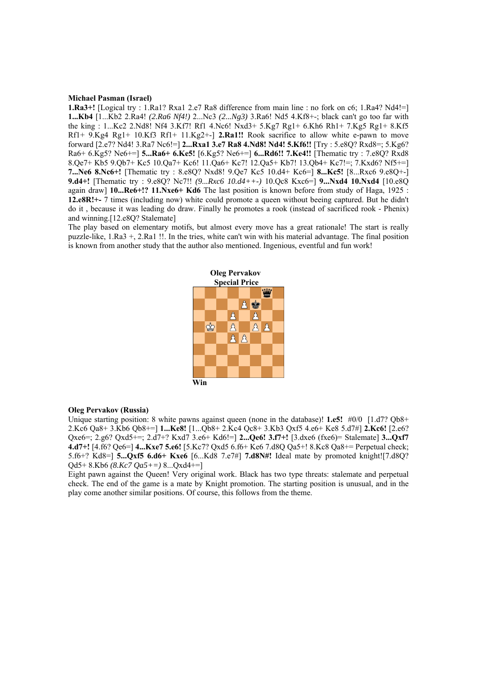#### **Michael Pasman (Israel)**

**1.Ra3+!** [Logical try : 1.Ra1? Rxa1 2.e7 Ra8 difference from main line : no fork on c6; 1.Ra4? Nd4!=] **1...Kb4** [1...Kb2 2.Ra4! *(2.Ra6 Nf4!)* 2...Nc3 *(2...Ng3)* 3.Ra6! Nd5 4.Kf8+-; black can't go too far with the king : 1...Kc2 2.Nd8! Nf4 3.Kf7! Rf1 4.Nc6! Nxd3+ 5.Kg7 Rg1+ 6.Kh6 Rh1+ 7.Kg5 Rg1+ 8.Kf5 Rf1+ 9.Kg4 Rg1+ 10.Kf3 Rf1+ 11.Kg2+-] **2.Ra1!!** Rook sacrifice to allow white e-pawn to move forward [2.e7? Nd4! 3.Ra7 Nc6!=] **2...Rxa1 3.e7 Ra8 4.Nd8! Nd4! 5.Kf6!!** [Try : 5.e8Q? Rxd8=; 5.Kg6? Ra6+ 6.Kg5? Ne6+=] **5...Ra6+ 6.Ke5!** [6.Kg5? Ne6+=] **6...Rd6!! 7.Ke4!!** [Thematic try : 7.e8Q? Rxd8 8.Qe7+ Kb5 9.Qb7+ Kc5 10.Qa7+ Kc6! 11.Qa6+ Kc7! 12.Qa5+ Kb7! 13.Qb4+ Kc7!=; 7.Kxd6? Nf5+=] **7...Ne6 8.Nc6+!** [Thematic try : 8.e8Q? Nxd8! 9.Qe7 Kc5 10.d4+ Kc6=] **8...Kc5!** [8...Rxc6 9.e8Q+-] **9.d4+!** [Thematic try : 9.e8Q? Nc7!! *(9...Rxc6 10.d4++-)* 10.Qc8 Kxc6=] **9...Nxd4 10.Nxd4** [10.e8Q again draw] **10...Re6+!? 11.Nxe6+ Kd6** The last position is known before from study of Haga, 1925 : **12.e8R!+-** 7 times (including now) white could promote a queen without beeing captured. But he didn't do it , because it was leading do draw. Finally he promotes a rook (instead of sacrificed rook - Phenix) and winning.[12.e8Q? Stalemate]

The play based on elementary motifs, but almost every move has a great rationale! The start is really puzzle-like, 1.Ra3 +, 2.Ra1 !!. In the tries, white can't win with his material advantage. The final position is known from another study that the author also mentioned. Ingenious, eventful and fun work!



#### **Oleg Pervakov (Russia)**

Unique starting position: 8 white pawns against queen (none in the database)! **1.e5!** #0/0 [1.d7? Qb8+ 2.Kc6 Qa8+ 3.Kb6 Qb8+=] **1...Ke8!** [1...Qb8+ 2.Kc4 Qc8+ 3.Kb3 Qxf5 4.e6+ Ke8 5.d7#] **2.Kc6!** [2.e6? Qxe6=; 2.g6? Qxd5+=; 2.d7+? Kxd7 3.e6+ Kd6!=] **2...Qe6! 3.f7+!** [3.dxe6 (fxe6)= Stalemate] **3...Qxf7 4.d7+!** [4.f6? Qe6=] **4...Kxe7 5.e6!** [5.Kc7? Qxd5 6.f6+ Ke6 7.d8Q Qa5+! 8.Kc8 Qa8+= Perpetual check; 5.f6+? Kd8=] **5...Qxf5 6.d6+ Kxe6** [6...Kd8 7.e7#] **7.d8N#!** Ideal mate by promoted knight![7.d8Q? Qd5+ 8.Kb6 *(8.Kc7 Qa5+=)* 8...Qxd4+=]

Eight pawn against the Queen! Very original work. Black has two type threats: stalemate and perpetual check. The end of the game is a mate by Knight promotion. The starting position is unusual, and in the play come another similar positions. Of course, this follows from the theme.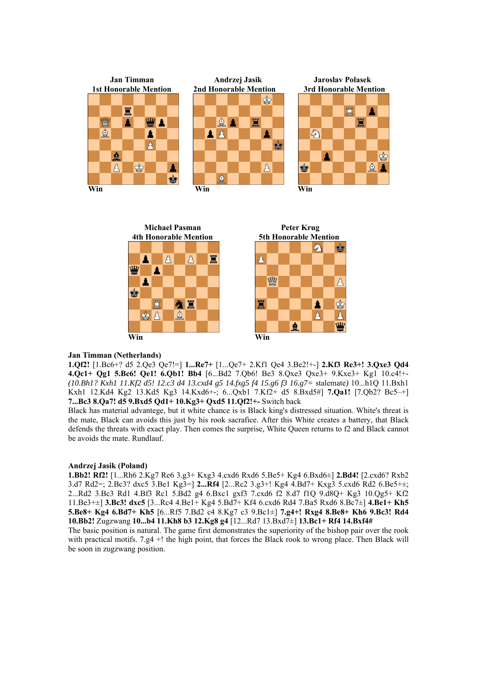



#### **Jan Timman (Netherlands)**

**1.Qf2!** [1.Bc6+? d5 2.Qe3 Qe7!=] **1...Re7+** [1...Qe7+ 2.Kf1 Qe4 3.Be2!+-] **2.Kf3 Re3+! 3.Qxe3 Qd4 4.Qc1+ Qg1 5.Bc6! Qe1! 6.Qb1! Bb4** [6...Bd2 7.Qb6! Be3 8.Qxe3 Qxe3+ 9.Kxe3+ Kg1 10.c4!+- *(10.Bh1? Kxh1 11.Kf2 d5! 12.c3 d4 13.cxd4 g5 14.fxg5 f4 15.g6 f3 16.g7=* stalemate*)* 10...h1Q 11.Bxh1 Kxh1 12.Kd4 Kg2 13.Kd5 Kg3 14.Kxd6+-; 6...Qxb1 7.Kf2+ d5 8.Bxd5#] **7.Qa1!** [7.Qb2? Bc5–+] **7...Bc3 8.Qa7! d5 9.Bxd5 Qd1+ 10.Kg3+ Qxd5 11.Qf2!+-** Switch back

Black has material advantege, but it white chance is is Black king's distressed situation. White's threat is the mate, Black can avoids this just by his rook sacrafice. After this White creates a battery, that Black defends the threats with exact play. Then comes the surprise, White Queen returns to f2 and Black cannot be avoids the mate. Rundlauf.

#### **Andrzej Jasik (Poland)**

**1.Bb2! Rf2!** [1...Rh6 2.Kg7 Re6 3.g3+ Kxg3 4.cxd6 Rxd6 5.Be5+ Kg4 6.Bxd6±] **2.Bd4!** [2.cxd6? Rxb2 3.d7 Rd2=; 2.Bc3? dxc5 3.Be1 Kg3=] **2...Rf4** [2...Rc2 3.g3+! Kg4 4.Bd7+ Kxg3 5.cxd6 Rd2 6.Be5+±; 2...Rd2 3.Bc3 Rd1 4.Bf3 Rc1 5.Bd2 g4 6.Bxc1 gxf3 7.cxd6 f2 8.d7 f1Q 9.d8Q+ Kg3 10.Qg5+ Kf2 11.Be3+±] **3.Bc3! dxc5** [3...Rc4 4.Be1+ Kg4 5.Bd7+ Kf4 6.cxd6 Rd4 7.Ba5 Rxd6 8.Bc7±] **4.Be1+ Kh5 5.Be8+ Kg4 6.Bd7+ Kh5** [6...Rf5 7.Bd2 c4 8.Kg7 c3 9.Bc1±] **7.g4+! Rxg4 8.Be8+ Kh6 9.Bc3! Rd4 10.Bb2!** Zugzwang **10...b4 11.Kh8 b3 12.Kg8 g4** [12...Rd7 13.Bxd7±] **13.Bc1+ Rf4 14.Bxf4#** 

The basic position is natural. The game first demonstrates the superiority of the bishop pair over the rook with practical motifs. 7.g4 +! the high point, that forces the Black rook to wrong place. Then Black will be soon in zugzwang position.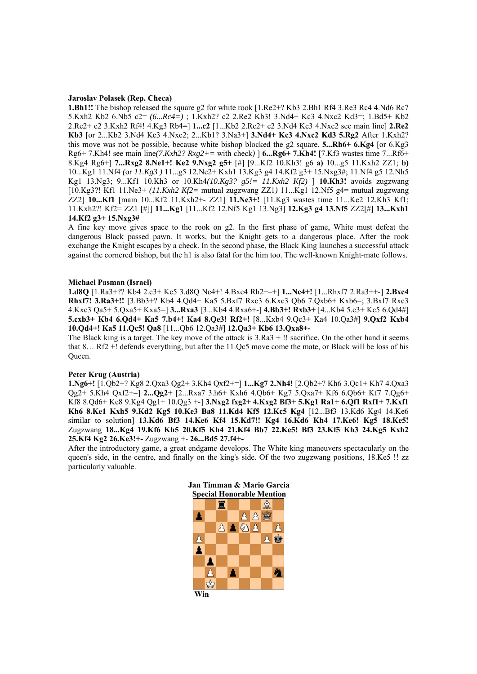#### **Jaroslav Polasek (Rep. Checa)**

**1.Bh1!!** The bishop released the square g2 for white rook [1.Re2+? Kb3 2.Bh1 Rf4 3.Re3 Rc4 4.Nd6 Rc7 5.Kxh2 Kb2 6.Nb5 c2= *(6...Rc4=)* ; 1.Kxh2? c2 2.Re2 Kb3! 3.Nd4+ Kc3 4.Nxc2 Kd3=; 1.Bd5+ Kb2 2.Re2+ c2 3.Kxh2 Rf4! 4.Kg3 Rb4=] **1...c2** [1...Kb2 2.Re2+ c2 3.Nd4 Kc3 4.Nxc2 see main line] **2.Re2 Kb3** [or 2...Kb2 3.Nd4 Kc3 4.Nxc2; 2...Kb1? 3.Na3+] **3.Nd4+ Kc3 4.Nxc2 Kd3 5.Rg2** After 1.Kxh2? this move was not be possible, because white bishop blocked the g2 square. **5...Rh6+ 6.Kg4** [or 6.Kg3 Rg6+ 7.Kh4! see main line*(7.Kxh2? Rxg2+=* with check*)* ] **6...Rg6+ 7.Kh4!** [7.Kf3 wastes time 7...Rf6+ 8.Kg4 Rg6+] **7...Rxg2 8.Ne1+! Ke2 9.Nxg2 g5+** [#] [9...Kf2 10.Kh3! g6 **a)** 10...g5 11.Kxh2 ZZ1; **b)**  10...Kg1 11.Nf4 *(*or *11.Kg3 )* 11...g5 12.Ne2+ Kxh1 13.Kg3 g4 14.Kf2 g3+ 15.Nxg3#; 11.Nf4 g5 12.Nh5 Kg1 13.Ng3; 9...Kf1 10.Kh3 or 10.Kh4*(10.Kg3? g5!= 11.Kxh2 Kf2)* ] **10.Kh3!** avoids zugzwang [10.Kg3?! Kf1 11.Ne3+ *(11.Kxh2 Kf2=* mutual zugzwang ZZ1*)* 11...Kg1 12.Nf5 g4= mutual zugzwang ZZ2] **10...Kf1** [main 10...Kf2 11.Kxh2+- ZZ1] **11.Ne3+!** [11.Kg3 wastes time 11...Ke2 12.Kh3 Kf1; 11.Kxh2?! Kf2= ZZ1 [#]] **11...Kg1** [11...Kf2 12.Nf5 Kg1 13.Ng3] **12.Kg3 g4 13.Nf5** ZZ2[#] **13...Kxh1 14.Kf2 g3+ 15.Nxg3#** 

A fine key move gives space to the rook on g2. In the first phase of game, White must defeat the dangerous Black passed pawn. It works, but the Knight gets to a dangerous place. After the rook exchange the Knight escapes by a check. In the second phase, the Black King launches a successful attack against the cornered bishop, but the h1 is also fatal for the him too. The well-known Knight-mate follows.

#### **Michael Pasman (Israel)**

**1.d8Q** [1.Ra3+?? Kb4 2.c3+ Kc5 3.d8Q Nc4+! 4.Bxc4 Rh2+–+] **1...Nc4+!** [1...Rhxf7 2.Ra3++-] **2.Bxc4 Rhxf7! 3.Ra3+!!** [3.Bb3+? Kb4 4.Qd4+ Ka5 5.Bxf7 Rxc3 6.Kxc3 Qb6 7.Qxb6+ Kxb6=; 3.Bxf7 Rxc3 4.Kxc3 Qa5+ 5.Qxa5+ Kxa5=] **3...Rxa3** [3...Kb4 4.Rxa6+-] **4.Bb3+! Rxb3+** [4...Kb4 5.c3+ Kc5 6.Qd4#] **5.cxb3+ Kb4 6.Qd4+ Ka5 7.b4+! Ka4 8.Qe3! Rf2+!** [8...Kxb4 9.Qc3+ Ka4 10.Qa3#] **9.Qxf2 Kxb4 10.Qd4+! Ka5 11.Qc5! Qa8** [11...Qb6 12.Qa3#] **12.Qa3+ Kb6 13.Qxa8+-** 

The Black king is a target. The key move of the attack is  $3.Ra3 +!!$  sacrifice. On the other hand it seems that 8… Rf2 +! defends everything, but after the 11.Qc5 move come the mate, or Black will be loss of his Queen.

#### **Peter Krug (Austria)**

**1.Ng6+!** [1.Qb2+? Kg8 2.Qxa3 Qg2+ 3.Kh4 Qxf2+=] **1...Kg7 2.Nh4!** [2.Qb2+? Kh6 3.Qc1+ Kh7 4.Qxa3 Qg2+ 5.Kh4 Qxf2+=] **2...Qg2+** [2...Rxa7 3.h6+ Kxh6 4.Qb6+ Kg7 5.Qxa7+ Kf6 6.Qb6+ Kf7 7.Qg6+ Kf8 8.Qd6+ Ke8 9.Kg4 Qg1+ 10.Qg3 +-] **3.Nxg2 fxg2+ 4.Kxg2 Bf3+ 5.Kg1 Ra1+ 6.Qf1 Rxf1+ 7.Kxf1 Kh6 8.Ke1 Kxh5 9.Kd2 Kg5 10.Ke3 Ba8 11.Kd4 Kf5 12.Kc5 Kg4** [12...Bf3 13.Kd6 Kg4 14.Ke6 similar to solution] **13.Kd6 Bf3 14.Ke6 Kf4 15.Kd7!! Kg4 16.Kd6 Kh4 17.Ke6! Kg5 18.Ke5!**  Zugzwang **18...Kg4 19.Kf6 Kh5 20.Kf5 Kh4 21.Kf4 Bb7 22.Ke5! Bf3 23.Kf5 Kh3 24.Kg5 Kxh2 25.Kf4 Kg2 26.Ke3!+-** Zugzwang +- **26...Bd5 27.f4+-** 

After the introductory game, a great endgame develops. The White king maneuvers spectacularly on the queen's side, in the centre, and finally on the king's side. Of the two zugzwang positions, 18.Ke5 !! zz particularly valuable.

| Jan Timman & Mario Garcia        |  |         |  |  |  |   |  |
|----------------------------------|--|---------|--|--|--|---|--|
| <b>Special Honorable Mention</b> |  |         |  |  |  |   |  |
|                                  |  |         |  |  |  | Ŧ |  |
|                                  |  |         |  |  |  |   |  |
|                                  |  | $\beta$ |  |  |  |   |  |
|                                  |  |         |  |  |  |   |  |
|                                  |  |         |  |  |  |   |  |
|                                  |  |         |  |  |  |   |  |
|                                  |  |         |  |  |  |   |  |
|                                  |  |         |  |  |  |   |  |
| Win                              |  |         |  |  |  |   |  |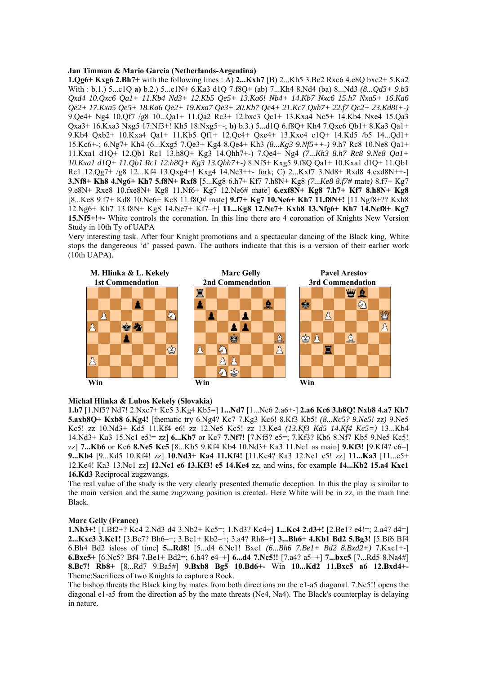#### **Jan Timman & Mario Garcia (Netherlands-Argentina)**

**1.Qg6+ Kxg6 2.Bh7+** with the following lines : A) **2...Kxh7** [B) 2...Kh5 3.Bc2 Rxc6 4.e8Q bxc2+ 5.Ka2 With : b.1.) 5...c1Q **a)** b.2.) 5...c1N+ 6.Ka3 d1Q 7.f8Q+ (ab) 7...Kh4 8.Nd4 (ba) 8...Nd3 *(8...Qd3+ 9.b3 Qxd4 10.Qxc6 Qa1+ 11.Kb4 Nd3+ 12.Kb5 Qe5+ 13.Ka6! Nb4+ 14.Kb7 Nxc6 15.h7 Nxa5+ 16.Ka6 Qe2+ 17.Kxa5 Qe5+ 18.Ka6 Qe2+ 19.Kxa7 Qe3+ 20.Kb7 Qe4+ 21.Kc7 Qxh7+ 22.f7 Qc2+ 23.Kd8!+-)*  9.Qe4+ Ng4 10.Qf7 /g8 10...Qa1+ 11.Qa2 Rc3+ 12.bxc3 Qc1+ 13.Kxa4 Nc5+ 14.Kb4 Nxe4 15.Qa3 Qxa3+ 16.Kxa3 Nxg5 17.Nf3+! Kh5 18.Nxg5+-; **b)** b.3.) 5...d1Q 6.f8Q+ Kh4 7.Qxc6 Qb1+ 8.Ka3 Qa1+ 9.Kb4 Qxb2+ 10.Kxa4 Qa1+ 11.Kb5 Qf1+ 12.Qc4+ Qxc4+ 13.Kxc4 c1Q+ 14.Kd5 /b5 14...Qd1+ 15.Kc6+-; 6.Ng7+ Kh4 (6...Kxg5 7.Qe3+ Kg4 8.Qe4+ Kh3 *(8...Kg3 9.Nf5++-)* 9.h7 Rc8 10.Ne8 Qa1+ 11.Kxa1 d1Q+ 12.Qb1 Rc1 13.h8Q+ Kg3 14.Qhh7+-) 7.Qe4+ Ng4 *(7...Kh3 8.h7 Rc8 9.Ne8 Qa1+ 10.Kxa1 d1Q+ 11.Qb1 Rc1 12.h8Q+ Kg3 13.Qhh7+-)* 8.Nf5+ Kxg5 9.f8Q Qa1+ 10.Kxa1 d1Q+ 11.Qb1 Rc1 12.Qg7+ /g8 12...Kf4 13.Qxg4+! Kxg4 14.Ne3++- fork; C) 2...Kxf7 3.Nd8+ Rxd8 4.exd8N++-] **3.Nf8+ Kh8 4.Ng6+ Kh7 5.f8N+ Rxf8** [5...Kg8 6.h7+ Kf7 7.h8N+ Kg8 *(7...Ke8 8.f7#* mate*)* 8.f7+ Kg7 9.e8N+ Rxe8 10.fxe8N+ Kg8 11.Nf6+ Kg7 12.Ne6# mate] **6.exf8N+ Kg8 7.h7+ Kf7 8.h8N+ Kg8**  [8...Ke8 9.f7+ Kd8 10.Ne6+ Kc8 11.f8Q# mate] **9.f7+ Kg7 10.Ne6+ Kh7 11.f8N+!** [11.Ngf8+?? Kxh8 12.Ng6+ Kh7 13.f8N+ Kg8 14.Ne7+ Kf7–+] **11...Kg8 12.Ne7+ Kxh8 13.Nfg6+ Kh7 14.Nef8+ Kg7 15.Nf5+!+-** White controls the coronation. In this line there are 4 coronation of Knights New Version Study in 10th Ty of UAPA

Very interesting task. After four Knight promotions and a spectacular dancing of the Black king, White stops the dangereous 'd' passed pawn. The authors indicate that this is a version of their earlier work (10th UAPA).



#### **Michal Hlinka & Lubos Kekely (Slovakia)**

**1.b7** [1.Nf5? Nd7! 2.Nxe7+ Kc5 3.Kg4 Kb5=] **1...Nd7** [1...Nc6 2.a6+-] **2.a6 Kc6 3.b8Q! Nxb8 4.a7 Kb7 5.axb8Q+ Kxb8 6.Kg4!** [thematic try 6.Ng4? Kc7 7.Kg3 Kc6! 8.Kf3 Kb5! *(8...Kc5? 9.Ne5!* zz*)* 9.Ne5 Kc5! zz 10.Nd3+ Kd5 11.Kf4 e6! zz 12.Ne5 Kc5! zz 13.Ke4 *(13.Kf3 Kd5 14.Kf4 Kc5=)* 13...Kb4 14.Nd3+ Ka3 15.Nc1 e5!= zz] **6...Kb7** or Kc7 **7.Nf7!** [7.Nf5? e5=; 7.Kf3? Kb6 8.Nf7 Kb5 9.Ne5 Kc5! zz] **7...Kb6** or Kc6 **8.Ne5 Kc5** [8...Kb5 9.Kf4 Kb4 10.Nd3+ Ka3 11.Nc1 as main] **9.Kf3!** [9.Kf4? e6=] **9...Kb4** [9...Kd5 10.Kf4! zz] **10.Nd3+ Ka4 11.Kf4!** [11.Ke4? Ka3 12.Nc1 e5! zz] **11...Ka3** [11...e5+ 12.Ke4! Ka3 13.Nc1 zz] **12.Nc1 e6 13.Kf3! e5 14.Ke4** zz, and wins, for example **14...Kb2 15.a4 Kxc1 16.Kd3** Reciprocal zugzwangs.

The real value of the study is the very clearly presented thematic deception. In this the play is similar to the main version and the same zugzwang position is created. Here White will be in zz, in the main line Black.

#### **Marc Gelly (France)**

**1.Nb3+!** [1.Bf2+? Kc4 2.Nd3 d4 3.Nb2+ Kc5=; 1.Nd3? Kc4÷] **1...Kc4 2.d3+!** [2.Be1? e4!=; 2.a4? d4=] **2...Kxc3 3.Kc1!** [3.Be7? Bh6–+; 3.Be1+ Kb2–+; 3.a4? Rh8–+] **3...Bh6+ 4.Kb1 Bd2 5.Bg3!** [5.Bf6 Bf4 6.Bh4 Bd2 isloss of time] **5...Rd8!** [5...d4 6.Nc1! Bxc1 *(6...Bh6 7.Be1+ Bd2 8.Bxd2+)* 7.Kxc1+-] **6.Bxe5+** [6.Nc5? Bf4 7.Be1+ Bd2=; 6.h4? e4–+] **6...d4 7.Nc5!!** [7.a4? a5–+] **7...bxc5** [7...Rd5 8.Na4#] **8.Bc7! Rb8+** [8...Rd7 9.Ba5#] **9.Bxb8 Bg5 10.Bd6+-** Win **10...Kd2 11.Bxc5 a6 12.Bxd4+-**  Theme:Sacrifices of two Knights to capture a Rock.

The bishop threats the Black king by mates from both directions on the e1-a5 diagonal. 7.Nc5!! opens the diagonal e1-a5 from the direction a5 by the mate threats (Ne4, Na4). The Black's counterplay is delaying in nature.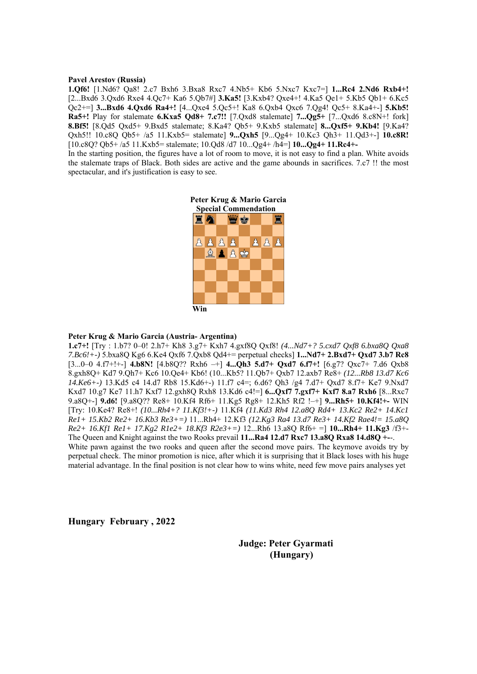#### **Pavel Arestov (Russia)**

**1.Qf6!** [1.Nd6? Qa8! 2.c7 Bxh6 3.Bxa8 Rxc7 4.Nb5+ Kb6 5.Nxc7 Kxc7=] **1...Rc4 2.Nd6 Rxb4+!**  [2...Bxd6 3.Qxd6 Rxe4 4.Qc7+ Ka6 5.Qb7#] **3.Ka5!** [3.Kxb4? Qxe4+! 4.Ka5 Qe1+ 5.Kb5 Qb1+ 6.Kc5 Qc2+=] **3...Bxd6 4.Qxd6 Ra4+!** [4...Qxe4 5.Qc5+! Ka8 6.Qxb4 Qxc6 7.Qg4! Qc5+ 8.Ka4+-] **5.Kb5! Ra5+!** Play for stalemate **6.Kxa5 Qd8+ 7.c7!!** [7.Qxd8 stalemate] **7...Qg5+** [7...Qxd6 8.c8N+! fork] **8.Bf5!** [8.Qd5 Qxd5+ 9.Bxd5 stalemate; 8.Ka4? Qb5+ 9.Kxb5 stalemate] **8...Qxf5+ 9.Kb4!** [9.Ka4? Qxh5!! 10.c8Q Qb5+ /a5 11.Kxb5= stalemate] **9...Qxh5** [9...Qg4+ 10.Kc3 Qh3+ 11.Qd3+-] **10.c8R!**  [10.c8Q? Qb5+ /a5 11.Kxb5= stalemate; 10.Qd8 /d7 10...Qg4+ /h4=] **10...Qg4+ 11.Rc4+-** 

In the starting position, the figures have a lot of room to move, it is not easy to find a plan. White avoids the stalemate traps of Black. Both sides are active and the game abounds in sacrifices. 7.c7 !! the most spectacular, and it's justification is easy to see.



#### **Peter Krug & Mario Garcia (Austria- Argentina)**

**1.c7+!** [Try : 1.b7? 0–0! 2.h7+ Kh8 3.g7+ Kxh7 4.gxf8Q Qxf8! *(4...Nd7+? 5.cxd7 Qxf8 6.bxa8Q Qxa8 7.Bc6!+-)* 5.bxa8Q Kg6 6.Ke4 Qxf6 7.Qxb8 Qd4+= perpetual checks] **1...Nd7+ 2.Bxd7+ Qxd7 3.b7 Rc8**  [3...0–0 4.f7+!+-] **4.b8N!** [4.b8Q?? Rxh6 –+] **4...Qh3 5.d7+ Qxd7 6.f7+!** [6.g7? Qxc7+ 7.d6 Qxb8 8.gxh8Q+ Kd7 9.Qh7+ Kc6 10.Qe4+ Kb6! (10...Kb5? 11.Qb7+ Qxb7 12.axb7 Re8+ *(12...Rb8 13.d7 Kc6 14.Ke6+-)* 13.Kd5 c4 14.d7 Rb8 15.Kd6+-) 11.f7 c4=; 6.d6? Qh3 /g4 7.d7+ Qxd7 8.f7+ Ke7 9.Nxd7 Kxd7 10.g7 Ke7 11.h7 Kxf7 12.gxh8Q Rxh8 13.Kd6 c4!=] **6...Qxf7 7.gxf7+ Kxf7 8.a7 Rxh6** [8...Rxc7 9.a8Q+-] **9.d6!** [9.a8Q?? Re8+ 10.Kf4 Rf6+ 11.Kg5 Rg8+ 12.Kh5 Rf2 !–+] **9...Rh5+ 10.Kf4!+-** WIN [Try: 10.Ke4? Re8+! *(10...Rh4+? 11.Kf3!+-)* 11.Kf4 *(11.Kd3 Rh4 12.a8Q Rd4+ 13.Kc2 Re2+ 14.Kc1 Re1+ 15.Kb2 Re2+ 16.Kb3 Re3+=)* 11...Rh4+ 12.Kf3 *(12.Kg3 Ra4 13.d7 Re3+ 14.Kf2 Rae4!= 15.a8Q Re2+ 16.Kf1 Re1+ 17.Kg2 R1e2+ 18.Kf3 R2e3+=)* 12...Rh6 13.a8Q Rf6+ =] **10...Rh4+ 11.Kg3** /f3+- The Queen and Knight against the two Rooks prevail **11...Ra4 12.d7 Rxc7 13.a8Q Rxa8 14.d8Q +-**-. White pawn against the two rooks and queen after the second move pairs. The keymove avoids try by perpetual check. The minor promotion is nice, after which it is surprising that it Black loses with his huge material advantage. In the final position is not clear how to wins white, need few move pairs analyses yet

**Hungary February , 2022** 

 **Judge: Peter Gyarmati (Hungary)**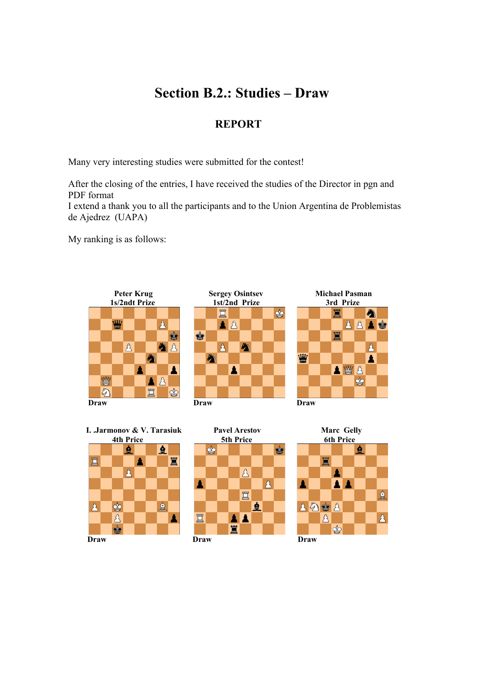## **Section B.2.: Studies – Draw**

## **REPORT**

Many very interesting studies were submitted for the contest!

After the closing of the entries, I have received the studies of the Director in pgn and PDF format

I extend a thank you to all the participants and to the Union Argentina de Problemistas de Ajedrez (UAPA)

My ranking is as follows:











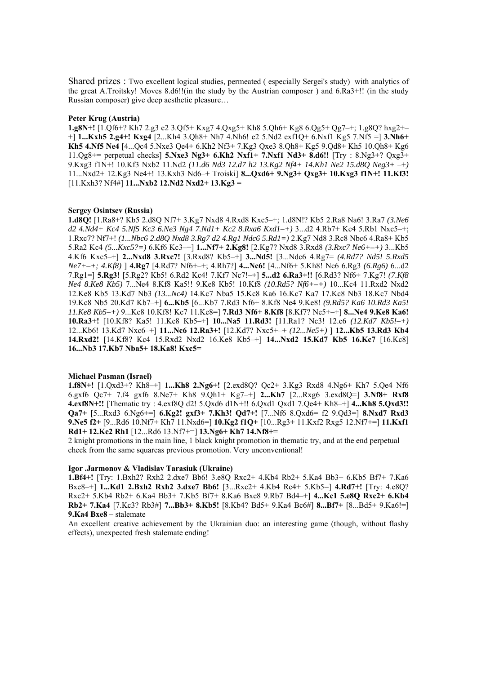Shared prizes : Two excellent logical studies, permeated ( especially Sergei's study) with analytics of the great A.Troitsky! Moves 8.d6!!(in the study by the Austrian composer ) and 6.Ra3+!! (in the study Russian composer) give deep aesthetic pleasure…

#### **Peter Krug (Austria)**

**1.g8N+!** [1.Qf6+? Kh7 2.g3 e2 3.Qf5+ Kxg7 4.Qxg5+ Kh8 5.Qh6+ Kg8 6.Qg5+ Qg7–+; 1.g8Q? hxg2+– +] **1...Kxh5 2.g4+! Kxg4** [2...Kh4 3.Qh8+ Nh7 4.Nh6! e2 5.Nd2 exf1Q+ 6.Nxf1 Kg5 7.Nf5 =] **3.Nh6+ Kh5 4.Nf5 Ne4** [4...Qc4 5.Nxe3 Qe4+ 6.Kh2 Nf3+ 7.Kg3 Qxe3 8.Qh8+ Kg5 9.Qd8+ Kh5 10.Qh8+ Kg6 11.Qg8+= perpetual checks] **5.Nxe3 Ng3+ 6.Kh2 Nxf1+ 7.Nxf1 Nd3+ 8.d6!!** [Try : 8.Ng3+? Qxg3+ 9.Kxg3 f1N+! 10.Kf3 Nxb2 11.Nd2 *(11.d6 Nd3 12.d7 h2 13.Kg2 Nf4+ 14.Kh1 Ne2 15.d8Q Neg3+* –+*)*  11...Nxd2+ 12.Kg3 Ne4+! 13.Kxh3 Nd6–+ Troiski] **8...Qxd6+ 9.Ng3+ Qxg3+ 10.Kxg3 f1N+! 11.Kf3!**  [11.Kxh3? Nf4#] **11...Nxb2 12.Nd2 Nxd2+ 13.Kg3** =

#### **Sergey Osintsev (Russia)**

**1.d8Q!** [1.Ra8+? Kb5 2.d8Q Nf7+ 3.Kg7 Nxd8 4.Rxd8 Kxc5–+; 1.d8N!? Kb5 2.Ra8 Na6! 3.Ra7 *(3.Ne6 d2 4.Nd4+ Kc4 5.Nf5 Kc3 6.Ne3 Ng4 7.Nd1+ Kc2 8.Rxa6 Kxd1–+)* 3...d2 4.Rb7+ Kc4 5.Rb1 Nxc5–+; 1.Rxc7? Nf7+! *(1...Nbc6 2.d8Q Nxd8 3.Rg7 d2 4.Rg1 Ndc6 5.Rd1=)* 2.Kg7 Nd8 3.Rc8 Nbc6 4.Ra8+ Kb5 5.Ra2 Kc4 *(5...Kxc5?=)* 6.Kf6 Kc3–+] **1...Nf7+ 2.Kg8!** [2.Kg7? Nxd8 3.Rxd8 *(3.Rxc7 Ne6+–+)* 3...Kb5 4.Kf6 Kxc5–+] **2...Nxd8 3.Rxc7!** [3.Rxd8? Kb5–+] **3...Nd5!** [3...Ndc6 4.Rg7= *(4.Rd7? Nd5! 5.Rxd5 Ne7+–+; 4.Kf8)* ] **4.Rg7** [4.Rd7? Nf6+–+; 4.Rh7?] **4...Nc6!** [4...Nf6+ 5.Kh8! Nc6 6.Rg3 *(6.Rg6)* 6...d2 7.Rg1=] **5.Rg3!** [5.Rg2? Kb5! 6.Rd2 Kc4! 7.Kf7 Nc7!–+] **5...d2 6.Ra3+!!** [6.Rd3? Nf6+ 7.Kg7! *(7.Kf8 Ne4 8.Ke8 Kb5)* 7...Ne4 8.Kf8 Ka5!! 9.Ke8 Kb5! 10.Kf8 *(10.Rd5? Nf6+–+)* 10...Kc4 11.Rxd2 Nxd2 12.Ke8 Kb5 13.Kd7 Nb3 *(13...Nc4)* 14.Kc7 Nba5 15.Kc8 Ka6 16.Kc7 Ka7 17.Kc8 Nb3 18.Kc7 Nbd4 19.Kc8 Nb5 20.Kd7 Kb7–+] **6...Kb5** [6...Kb7 7.Rd3 Nf6+ 8.Kf8 Ne4 9.Ke8! *(9.Rd5? Ka6 10.Rd3 Ka5! 11.Ke8 Kb5–+)* 9...Kc8 10.Kf8! Kc7 11.Ke8=] **7.Rd3 Nf6+ 8.Kf8** [8.Kf7? Ne5+–+] **8...Ne4 9.Ke8 Ka6! 10.Ra3+!** [10.Kf8? Ka5! 11.Ke8 Kb5–+] **10...Na5 11.Rd3!** [11.Ra1? Nc3! 12.c6 *(12.Kd7 Kb5!–+)*  12...Kb6! 13.Kd7 Nxc6–+] **11...Nc6 12.Ra3+!** [12.Kd7? Nxc5+–+ *(12...Ne5+)* ] **12...Kb5 13.Rd3 Kb4 14.Rxd2!** [14.Kf8? Kc4 15.Rxd2 Nxd2 16.Ke8 Kb5–+] **14...Nxd2 15.Kd7 Kb5 16.Kc7** [16.Kc8] **16...Nb3 17.Kb7 Nba5+ 18.Ka8! Kxc5=** 

#### **Michael Pasman (Israel)**

**1.f8N+!** [1.Qxd3+? Kh8–+] **1...Kh8 2.Ng6+!** [2.exd8Q? Qc2+ 3.Kg3 Rxd8 4.Ng6+ Kh7 5.Qe4 Nf6 6.gxf6 Qc7+ 7.f4 gxf6 8.Ne7+ Kh8 9.Qh1+ Kg7–+] **2...Kh7** [2...Rxg6 3.exd8Q=] **3.Nf8+ Rxf8 4.exf8N+!!** [Thematic try : 4.exf8Q d2! 5.Qxd6 d1N+!! 6.Qxd1 Qxd1 7.Qe4+ Kh8–+] **4...Kh8 5.Qxd3!! Qa7+** [5...Rxd3 6.Ng6+=] **6.Kg2! gxf3+ 7.Kh3! Qd7+!** [7...Nf6 8.Qxd6= f2 9.Qd3=] **8.Nxd7 Rxd3 9.Ne5 f2+** [9...Rd6 10.Nf7+ Kh7 11.Nxd6=] **10.Kg2 f1Q+** [10...Rg3+ 11.Kxf2 Rxg5 12.Nf7+=] **11.Kxf1 Rd1+ 12.Ke2 Rh1** [12...Rd6 13.Nf7+=] **13.Ng6+ Kh7 14.Nf8+=** 

2 knight promotions in the main line, 1 black knight promotion in thematic try, and at the end perpetual check from the same squareas previous promotion. Very unconventional!

#### **Igor .Jarmonov & Vladislav Tarasiuk (Ukraine)**

**1.Bf4+!** [Try: 1.Bxh2? Rxh2 2.dxe7 Bb6! 3.e8Q Rxc2+ 4.Kb4 Rb2+ 5.Ka4 Bb3+ 6.Kb5 Bf7+ 7.Ka6 Bxe8–+] **1...Kd1 2.Bxh2 Rxh2 3.dxe7 Bb6!** [3...Rxc2+ 4.Kb4 Rc4+ 5.Kb5=] **4.Rd7+!** [Try: 4.e8Q? Rxc2+ 5.Kb4 Rb2+ 6.Ka4 Bb3+ 7.Kb5 Bf7+ 8.Ka6 Bxe8 9.Rb7 Bd4–+] **4...Kc1 5.e8Q Rxc2+ 6.Kb4 Rb2+ 7.Ka4** [7.Kc3? Rb3#] **7...Bb3+ 8.Kb5!** [8.Kb4? Bd5+ 9.Ka4 Bc6#] **8...Bf7+** [8...Bd5+ 9.Ka6!=] **9.Ka4 Bxe8** – stalemate

An excellent creative achievement by the Ukrainian duo: an interesting game (though, without flashy effects), unexpected fresh stalemate ending!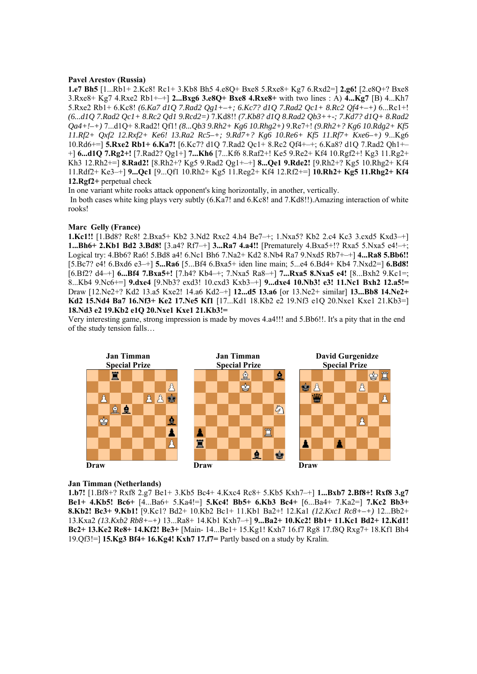#### **Pavel Arestov (Russia)**

**1.e7 Bh5** [1...Rb1+ 2.Kc8! Rc1+ 3.Kb8 Bh5 4.e8Q+ Bxe8 5.Rxe8+ Kg7 6.Rxd2=] **2.g6!** [2.e8Q+? Bxe8 3.Rxe8+ Kg7 4.Rxe2 Rb1+–+] **2...Bxg6 3.e8Q+ Bxe8 4.Rxe8+** with two lines : A) **4...Kg7** [B) 4...Kh7 5.Rxe2 Rb1+ 6.Kc8! *(6.Ka7 d1Q 7.Rad2 Qg1+–+; 6.Kc7? d1Q 7.Rad2 Qc1+ 8.Rc2 Qf4+–+)* 6...Rc1+! *(6...d1Q 7.Rad2 Qc1+ 8.Rc2 Qd1 9.Rcd2=)* 7.Kd8!! *(7.Kb8? d1Q 8.Rad2 Qb3++-; 7.Kd7? d1Q+ 8.Rad2 Qa4+!–+)* 7...d1Q+ 8.Rad2! Qf1! *(8...Qb3 9.Rh2+ Kg6 10.Rhg2+)* 9.Re7+! *(9.Rh2+? Kg6 10.Rdg2+ Kf5 11.Rf2+ Qxf2 12.Rxf2+ Ke6! 13.Ra2 Rc5–+; 9.Rd7+? Kg6 10.Re6+ Kf5 11.Rf7+ Kxe6–+)* 9...Kg6 10.Rd6+=] **5.Rxe2 Rb1+ 6.Ka7!** [6.Kc7? d1Q 7.Rad2 Qc1+ 8.Rc2 Qf4+–+; 6.Ka8? d1Q 7.Rad2 Qh1+– +] **6...d1Q 7.Rg2+!** [7.Rad2? Qg1+] **7...Kh6** [7...Kf6 8.Raf2+! Ke5 9.Re2+ Kf4 10.Rgf2+! Kg3 11.Rg2+ Kh3 12.Rh2+=] **8.Rad2!** [8.Rh2+? Kg5 9.Rad2 Qg1+–+] **8...Qe1 9.Rde2!** [9.Rh2+? Kg5 10.Rhg2+ Kf4 11.Rdf2+ Ke3–+] **9...Qc1** [9...Qf1 10.Rh2+ Kg5 11.Reg2+ Kf4 12.Rf2+=] **10.Rh2+ Kg5 11.Rhg2+ Kf4 12.Rgf2+** perpetual check

In one variant white rooks attack opponent's king horizontally, in another, vertically. In both cases white king plays very subtly (6.Ka7! and 6.Kc8! and 7.Kd8!!).Amazing interaction of white rooks!

## **Marc Gelly (France)**

**1.Kc1!!** [1.Bd8? Rc8! 2.Bxa5+ Kb2 3.Nd2 Rxc2 4.h4 Be7–+; 1.Nxa5? Kb2 2.c4 Kc3 3.cxd5 Kxd3–+] **1...Bh6+ 2.Kb1 Bd2 3.Bd8!** [3.a4? Rf7–+] **3...Ra7 4.a4!!** [Prematurely 4.Bxa5+!? Rxa5 5.Nxa5 e4!–+; Logical try: 4.Bb6? Ra6! 5.Bd8 a4! 6.Nc1 Bh6 7.Na2+ Kd2 8.Nb4 Ra7 9.Nxd5 Rb7+–+] **4...Ra8 5.Bb6!!**  [5.Bc7? e4! 6.Bxd6 e3–+] **5...Ra6** [5...Bf4 6.Bxa5+ iden line main; 5...e4 6.Bd4+ Kb4 7.Nxd2=] **6.Bd8!**  [6.Bf2? d4–+] **6...Bf4 7.Bxa5+!** [7.h4? Kb4–+; 7.Nxa5 Ra8–+] **7...Rxa5 8.Nxa5 e4!** [8...Bxh2 9.Kc1=; 8...Kb4 9.Nc6+=] **9.dxe4** [9.Nb3? exd3! 10.cxd3 Kxb3–+] **9...dxe4 10.Nb3! e3! 11.Nc1 Bxh2 12.a5!=**  Draw [12.Ne2+? Kd2 13.a5 Kxe2! 14.a6 Kd2–+] **12...d5 13.a6** [or 13.Ne2+ similar] **13...Bb8 14.Ne2+ Kd2 15.Nd4 Ba7 16.Nf3+ Ke2 17.Ne5 Kf1** [17...Kd1 18.Kb2 e2 19.Nf3 e1Q 20.Nxe1 Kxe1 21.Kb3=] **18.Nd3 e2 19.Kb2 e1Q 20.Nxe1 Kxe1 21.Kb3!=** 

Very interesting game, strong impression is made by moves 4.a4!!! and 5.Bb6!!. It's a pity that in the end of the study tension falls…



#### **Jan Timman (Netherlands)**

**1.b7!** [1.Bf8+? Rxf8 2.g7 Be1+ 3.Kb5 Bc4+ 4.Kxc4 Rc8+ 5.Kb5 Kxh7–+] **1...Bxb7 2.Bf8+! Rxf8 3.g7 Be1+ 4.Kb5! Bc6+** [4...Ba6+ 5.Ka4!=] **5.Kc4! Bb5+ 6.Kb3 Bc4+** [6...Ba4+ 7.Ka2=] **7.Kc2 Bb3+ 8.Kb2! Bc3+ 9.Kb1!** [9.Kc1? Bd2+ 10.Kb2 Bc1+ 11.Kb1 Ba2+! 12.Ka1 *(12.Kxc1 Rc8+–+)* 12...Bb2+ 13.Kxa2 *(13.Kxb2 Rb8+–+)* 13...Ra8+ 14.Kb1 Kxh7–+] **9...Ba2+ 10.Kc2! Bb1+ 11.Kc1 Bd2+ 12.Kd1! Bc2+ 13.Ke2 Re8+ 14.Kf2! Be3+** [Main- 14...Be1+ 15.Kg1! Kxh7 16.f7 Rg8 17.f8Q Rxg7+ 18.Kf1 Bh4 19.Qf3!=] **15.Kg3 Bf4+ 16.Kg4! Kxh7 17.f7=** Partly based on a study by Kralin.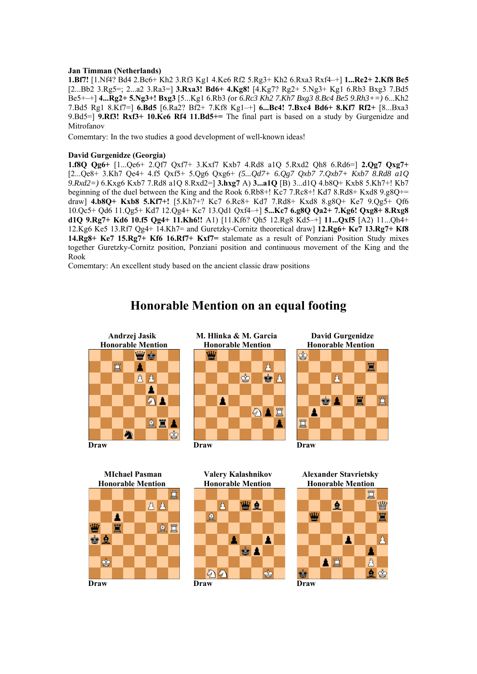### **Jan Timman (Netherlands)**

**1.Bf7!** [1.Nf4? Bd4 2.Bc6+ Kh2 3.Rf3 Kg1 4.Ke6 Rf2 5.Rg3+ Kh2 6.Rxa3 Rxf4–+] **1...Re2+ 2.Kf8 Be5**  [2...Bb2 3.Rg5=; 2...a2 3.Ra3=] **3.Rxa3! Bd6+ 4.Kg8!** [4.Kg7? Rg2+ 5.Ng3+ Kg1 6.Rb3 Bxg3 7.Bd5 Be5+–+] **4...Rg2+ 5.Ng3+! Bxg3** [5...Kg1 6.Rb3 *(*or *6.Rc3 Kh2 7.Kh7 Bxg3 8.Bc4 Be5 9.Rh3+=)* 6...Kh2 7.Bd5 Rg1 8.Kf7=] **6.Bd5** [6.Ra2? Bf2+ 7.Kf8 Kg1–+] **6...Bc4! 7.Bxc4 Bd6+ 8.Kf7 Rf2+** [8...Bxa3 9.Bd5=] **9.Rf3! Rxf3+ 10.Ke6 Rf4 11.Bd5+=** The final part is based on a study by Gurgenidze and Mitrofanov

Comemtary: In the two studies a good development of well-known ideas!

## **David Gurgenidze (Georgia)**

**1.f8Q Qg6+** [1...Qe6+ 2.Qf7 Qxf7+ 3.Kxf7 Kxb7 4.Rd8 a1Q 5.Rxd2 Qh8 6.Rd6=] **2.Qg7 Qxg7+**  [2...Qe8+ 3.Kh7 Qe4+ 4.f5 Qxf5+ 5.Qg6 Qxg6+ *(5...Qd7+ 6.Qg7 Qxb7 7.Qxb7+ Kxb7 8.Rd8 a1Q 9.Rxd2=)* 6.Kxg6 Kxb7 7.Rd8 a1Q 8.Rxd2=] **3.hxg7** A) **3...a1Q** [B) 3...d1Q 4.b8Q+ Kxb8 5.Kh7+! Kb7 beginning of the duel between the King and the Rook 6.Rb8+! Kc7 7.Rc8+! Kd7 8.Rd8+ Kxd8 9.g8Q+= draw] **4.b8Q+ Kxb8 5.Kf7+!** [5.Kh7+? Kc7 6.Rc8+ Kd7 7.Rd8+ Kxd8 8.g8Q+ Ke7 9.Qg5+ Qf6 10.Qc5+ Qd6 11.Qg5+ Kd7 12.Qg4+ Kc7 13.Qd1 Qxf4–+] **5...Kc7 6.g8Q Qa2+ 7.Kg6! Qxg8+ 8.Rxg8 d1Q 9.Rg7+ Kd6 10.f5 Qg4+ 11.Kh6!!** A1) [11.Kf6? Qh5 12.Rg8 Kd5–+] **11...Qxf5** [A2) 11...Qh4+ 12.Kg6 Ke5 13.Rf7 Qg4+ 14.Kh7= and Guretzky-Cornitz theoretical draw] **12.Rg6+ Ke7 13.Rg7+ Kf8 14.Rg8+ Ke7 15.Rg7+ Kf6 16.Rf7+ Kxf7=** stalemate as a result of Ponziani Position Study mixes together Guretzky-Cornitz position, Ponziani position and continuous movement of the King and the Rook

Comemtary: An excellent study based on the ancient classic draw positions

#### Andrzej Jasik **M. Hlinka & M. Garcia** David Gurgenidze<br> **M. Honorable Mention** Honorable Mention **Bendie Bendie Honorable Mention Honorable Mention Honorable Mention** w. A 買 A ♔  $8B$  $\bullet$   $\land$ Â  $\bigcirc$  1 Α 公園 ≜ **Draw Draw Draw**





 **Honorable Mention Honorable Mention Honorable Mention**





 **MIchael Pasman Valery Kalashnikov Alexander Stavrietsky** 



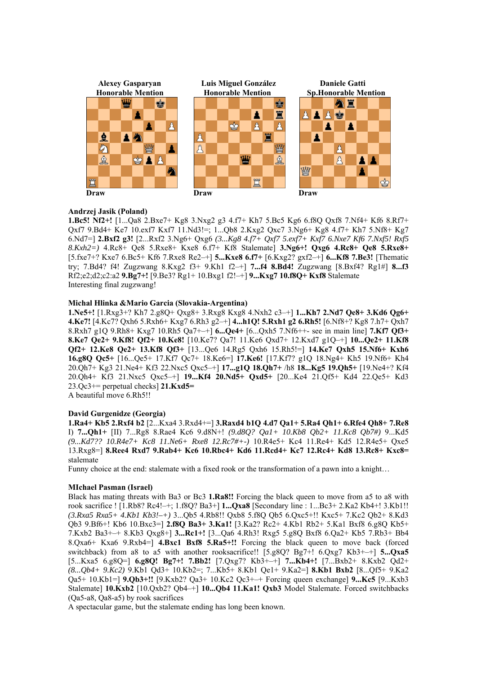

## **Andrzej Jasik (Poland)**

**1.Bc5! Nf2+!** [1...Qa8 2.Bxe7+ Kg8 3.Nxg2 g3 4.f7+ Kh7 5.Bc5 Kg6 6.f8Q Qxf8 7.Nf4+ Kf6 8.Rf7+ Qxf7 9.Bd4+ Ke7 10.exf7 Kxf7 11.Nd3!=; 1...Qb8 2.Kxg2 Qxc7 3.Ng6+ Kg8 4.f7+ Kh7 5.Nf8+ Kg7 6.Nd7=] **2.Bxf2 g3!** [2...Rxf2 3.Ng6+ Qxg6 *(3...Kg8 4.f7+ Qxf7 5.exf7+ Kxf7 6.Nxe7 Kf6 7.Nxf5! Rxf5 8.Kxh2=)* 4.Rc8+ Qe8 5.Rxe8+ Kxe8 6.f7+ Kf8 Stalemate] **3.Ng6+! Qxg6 4.Rc8+ Qe8 5.Rxe8+**  [5.fxe7+? Kxe7 6.Bc5+ Kf6 7.Rxe8 Re2–+] **5...Kxe8 6.f7+** [6.Kxg2? gxf2–+] **6...Kf8 7.Be3!** [Thematic try; 7.Bd4? f4! Zugzwang 8.Kxg2 f3+ 9.Kh1 f2–+] **7...f4 8.Bd4!** Zugzwang [8.Bxf4? Rg1#] **8...f3**  Rf2;e2;d2;c2:a2 **9.Bg7+!** [9.Be3? Rg1+ 10.Bxg1 f2!–+] **9...Kxg7 10.f8Q+ Kxf8** Stalemate Interesting final zugzwang!

## **Michal Hlinka &Mario Garcia (Slovakia-Argentina)**

**1.Ne5+!** [1.Rxg3+? Kh7 2.g8Q+ Qxg8+ 3.Rxg8 Kxg8 4.Nxh2 c3–+] **1...Kh7 2.Nd7 Qe8+ 3.Kd6 Qg6+ 4.Ke7!** [4.Kc7? Qxh6 5.Rxh6+ Kxg7 6.Rh3 g2–+] **4...h1Q! 5.Rxh1 g2 6.Rh5!** [6.Nf8+? Kg8 7.h7+ Qxh7 8.Rxh7 g1Q 9.Rh8+ Kxg7 10.Rh5 Qa7+–+] **6...Qe4+** [6...Qxh5 7.Nf6++- see in main line] **7.Kf7 Qf3+ 8.Ke7 Qe2+ 9.Kf8! Qf2+ 10.Ke8!** [10.Ke7? Qa7! 11.Ke6 Qxd7+ 12.Kxd7 g1Q–+] **10...Qe2+ 11.Kf8 Qf2+ 12.Ke8 Qe2+ 13.Kf8 Qf3+** [13...Qe6 14.Rg5 Qxh6 15.Rh5!=] **14.Ke7 Qxh5 15.Nf6+ Kxh6 16.g8Q Qc5+** [16...Qe5+ 17.Kf7 Qc7+ 18.Ke6=] **17.Ke6!** [17.Kf7? g1Q 18.Ng4+ Kh5 19.Nf6+ Kh4 20.Qh7+ Kg3 21.Ne4+ Kf3 22.Nxc5 Qxc5–+] **17...g1Q 18.Qh7+** /h8 **18...Kg5 19.Qh5+** [19.Ne4+? Kf4 20.Qh4+ Kf3 21.Nxc5 Qxc5–+] **19...Kf4 20.Nd5+ Qxd5+** [20...Ke4 21.Qf5+ Kd4 22.Qe5+ Kd3 23.Qc3+= perpetual checks] **21.Kxd5=** 

A beautiful move 6.Rh5!!

## **David Gurgenidze (Georgia)**

**1.Ra4+ Kb5 2.Rxf4 b2** [2...Kxa4 3.Rxd4+=] **3.Raxd4 b1Q 4.d7 Qa1+ 5.Ra4 Qh1+ 6.Rfe4 Qh8+ 7.Re8**  I) **7...Qh1+** [II) 7...Rg8 8.Rae4 Kc6 9.d8N+! *(9.d8Q? Qa1+ 10.Kb8 Qb2+ 11.Kc8 Qb7#)* 9...Kd5 *(9...Kd7?? 10.R4e7+ Kc8 11.Ne6+ Rxe8 12.Rc7#+-)* 10.R4e5+ Kc4 11.Re4+ Kd5 12.R4e5+ Qxe5 13.Rxg8=] **8.Ree4 Rxd7 9.Rab4+ Kc6 10.Rbc4+ Kd6 11.Rcd4+ Kc7 12.Rc4+ Kd8 13.Rc8+ Kxc8=**  stalemate

Funny choice at the end: stalemate with a fixed rook or the transformation of a pawn into a knight…

#### **MIchael Pasman (Israel)**

Black has mating threats with Ba3 or Bc3 **1.Ra8!!** Forcing the black queen to move from a5 to a8 with rook sacrifice ! [1.Rb8? Rc4!–+; 1.f8Q? Ba3+] **1...Qxa8** [Secondary line : 1...Bc3+ 2.Ka2 Kb4+! 3.Kb1!! *(3.Rxa5 Rxa5+ 4.Kb1 Kb3!–+)* 3...Qb5 4.Rb8!! Qxb8 5.f8Q Qb5 6.Qxc5+!! Kxc5+ 7.Kc2 Qb2+ 8.Kd3 Qb3 9.Bf6+! Kb6 10.Bxc3=] **2.f8Q Ba3+ 3.Ka1!** [3.Ka2? Rc2+ 4.Kb1 Rb2+ 5.Ka1 Bxf8 6.g8Q Kb5+ 7.Kxb2 Ba3+–+ 8.Kb3 Qxg8+] **3...Rc1+!** [3...Qa6 4.Rh3! Rxg5 5.g8Q Bxf8 6.Qa2+ Kb5 7.Rb3+ Bb4 8.Qxa6+ Kxa6 9.Rxb4=] **4.Bxc1 Bxf8 5.Ra5+!!** Forcing the black queen to move back (forced switchback) from a8 to a5 with another rooksacrifice!! [5.g8Q? Bg7+! 6.Qxg7 Kb3+–+] **5...Qxa5**  [5...Kxa5 6.g8Q=] **6.g8Q! Bg7+! 7.Bb2!** [7.Qxg7? Kb3+–+] **7...Kb4+!** [7...Bxb2+ 8.Kxb2 Qd2+ *(8...Qb4+ 9.Kc2)* 9.Kb1 Qd3+ 10.Kb2=; 7...Kb5+ 8.Kb1 Qe1+ 9.Ka2=] **8.Kb1 Bxb2** [8...Qf5+ 9.Ka2 Qa5+ 10.Kb1=] **9.Qb3+!!** [9.Kxb2? Qa3+ 10.Kc2 Qc3+–+ Forcing queen exchange] **9...Kc5** [9...Kxb3 Stalemate] **10.Kxb2** [10.Qxb2? Qb4–+] **10...Qb4 11.Ka1! Qxb3** Model Stalemate. Forced switchbacks (Qa5-a8, Qa8-a5) by rook sacrifices

A spectacular game, but the stalemate ending has long been known.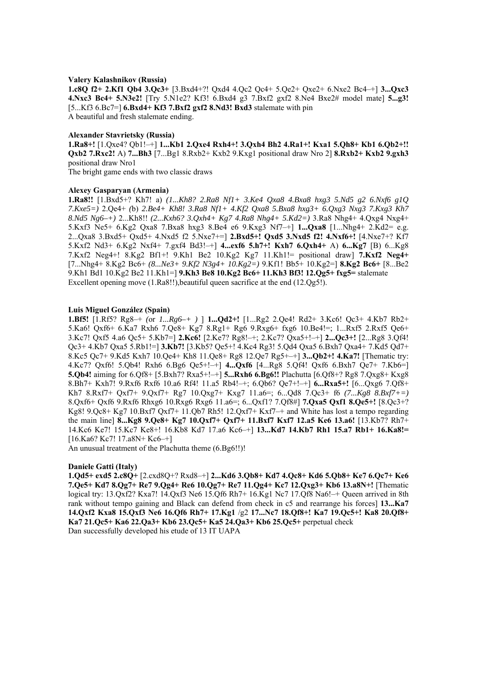#### **Valery Kalashnikov (Russia)**

**1.c8Q f2+ 2.Kf1 Qb4 3.Qc3+** [3.Bxd4+?! Qxd4 4.Qc2 Qc4+ 5.Qe2+ Qxe2+ 6.Nxe2 Bc4–+] **3...Qxc3 4.Nxc3 Bc4+ 5.N3e2!** [Try 5.N1e2? Kf3! 6.Bxd4 g3 7.Bxf2 gxf2 8.Ne4 Bxe2# model mate] **5...g3!**  [5...Kf3 6.Bc7=] **6.Bxd4+ Kf3 7.Bxf2 gxf2 8.Nd3! Bxd3** stalemate with pin A beautiful and fresh stalemate ending.

#### **Alexander Stavrietsky (Russia)**

**1.Ra8+!** [1.Qxe4? Qb1!–+] **1...Kb1 2.Qxe4 Rxh4+! 3.Qxh4 Bh2 4.Ra1+! Kxa1 5.Qh8+ Kb1 6.Qb2+!! Qxb2 7.Rxc2!** A) **7...Bh3** [7...Bg1 8.Rxb2+ Kxb2 9.Kxg1 positional draw Nro 2] **8.Rxb2+ Kxb2 9.gxh3**  positional draw Nro1

The bright game ends with two classic draws

#### **Alexey Gasparyan (Armenia)**

**1.Ra8!!** [1.Bxd5+? Kh7! a) *(1...Kh8? 2.Ra8 Nf1+ 3.Ke4 Qxa8 4.Bxa8 hxg3 5.Nd5 g2 6.Nxf6 g1Q 7.Kxe5=)* 2.Qe4+ *(*b) *2.Be4+ Kh8! 3.Ra8 Nf1+ 4.Kf2 Qxa8 5.Bxa8 hxg3+ 6.Qxg3 Nxg3 7.Kxg3 Kh7 8.Nd5 Ng6–+)* 2...Kh8!! *(2...Kxh6? 3.Qxh4+ Kg7 4.Ra8 Nhg4+ 5.Kd2=)* 3.Ra8 Nhg4+ 4.Qxg4 Nxg4+ 5.Kxf3 Ne5+ 6.Kg2 Qxa8 7.Bxa8 hxg3 8.Be4 e6 9.Kxg3 Nf7–+] **1...Qxa8** [1...Nhg4+ 2.Kd2= e.g. 2...Qxa8 3.Bxd5+ Qxd5+ 4.Nxd5 f2 5.Nxe7+=] **2.Bxd5+! Qxd5 3.Nxd5 f2! 4.Nxf6+!** [4.Nxe7+? Kf7 5.Kxf2 Nd3+ 6.Kg2 Nxf4+ 7.gxf4 Bd3!–+] **4...exf6 5.h7+! Kxh7 6.Qxh4+** A) **6...Kg7** [B) 6...Kg8 7.Kxf2 Neg4+! 8.Kg2 Bf1+! 9.Kh1 Be2 10.Kg2 Kg7 11.Kh1!= positional draw] **7.Kxf2 Neg4+**  [7...Nhg4+ 8.Kg2 Bc6+ *(8...Ne3+ 9.Kf2 N3g4+ 10.Kg2=)* 9.Kf1! Bb5+ 10.Kg2=] **8.Kg2 Bc6+** [8...Be2 9.Kh1 Bd1 10.Kg2 Be2 11.Kh1=] **9.Kh3 Be8 10.Kg2 Bc6+ 11.Kh3 Bf3! 12.Qg5+ fxg5=** stalemate Excellent opening move (1.Ra8!!), beautiful queen sacrifice at the end (12.Qg5!).

## **Luis Miguel González (Spain)**

**1.Bf5!** [1.Rf5? Rg8–+ *(*or *1...Rg6–+ )* ] **1...Qd2+!** [1...Rg2 2.Qe4! Rd2+ 3.Kc6! Qc3+ 4.Kb7 Rb2+ 5.Ka6! Qxf6+ 6.Ka7 Rxh6 7.Qe8+ Kg7 8.Rg1+ Rg6 9.Rxg6+ fxg6 10.Be4!=; 1...Rxf5 2.Rxf5 Qe6+ 3.Kc7! Qxf5 4.a6 Qc5+ 5.Kb7=] **2.Kc6!** [2.Ke7? Rg8!–+; 2.Kc7? Qxa5+!–+] **2...Qc3+!** [2...Rg8 3.Qf4! Qc3+ 4.Kb7 Qxa5 5.Rb1!=] **3.Kb7!** [3.Kb5? Qe5+! 4.Kc4 Rg3! 5.Qd4 Qxa5 6.Bxh7 Qxa4+ 7.Kd5 Qd7+ 8.Kc5 Qc7+ 9.Kd5 Kxh7 10.Qe4+ Kh8 11.Qe8+ Rg8 12.Qe7 Rg5+–+] **3...Qb2+! 4.Ka7!** [Thematic try: 4.Kc7? Qxf6! 5.Qb4! Rxh6 6.Bg6 Qe5+!–+] **4...Qxf6** [4...Rg8 5.Qf4! Qxf6 6.Bxh7 Qe7+ 7.Kb6=] **5.Qb4!** aiming for 6.Qf8+ [5.Bxh7? Rxa5+!–+] **5...Rxh6 6.Bg6!!** Plachutta [6.Qf8+? Rg8 7.Qxg8+ Kxg8 8.Bh7+ Kxh7! 9.Rxf6 Rxf6 10.a6 Rf4! 11.a5 Rb4!–+; 6.Qb6? Qe7+!–+] **6...Rxa5+!** [6...Qxg6 7.Qf8+ Kh7 8.Rxf7+ Qxf7+ 9.Qxf7+ Rg7 10.Qxg7+ Kxg7 11.a6=; 6...Qd8 7.Qc3+ f6 *(7...Kg8 8.Bxf7+=)*  8.Qxf6+ Qxf6 9.Rxf6 Rhxg6 10.Rxg6 Rxg6 11.a6=; 6...Qxf1? 7.Qf8#] **7.Qxa5 Qxf1 8.Qe5+!** [8.Qc3+? Kg8! 9.Qc8+ Kg7 10.Bxf7 Qxf7+ 11.Qb7 Rh5! 12.Qxf7+ Kxf7–+ and White has lost a tempo regarding the main line] **8...Kg8 9.Qe8+ Kg7 10.Qxf7+ Qxf7+ 11.Bxf7 Kxf7 12.a5 Ke6 13.a6!** [13.Kb7? Rh7+ 14.Kc6 Ke7! 15.Kc7 Ke8+! 16.Kb8 Kd7 17.a6 Kc6–+] **13...Kd7 14.Kb7 Rh1 15.a7 Rb1+ 16.Ka8!=**  [16.Ka6? Kc7! 17.a8N+ Kc6–+]

An unusual treatment of the Plachutta theme (6.Bg6!!)!

#### **Daniele Gatti (Italy)**

**1.Qd5+ exd5 2.c8Q+** [2.cxd8Q+? Rxd8–+] **2...Kd6 3.Qb8+ Kd7 4.Qc8+ Kd6 5.Qb8+ Ke7 6.Qc7+ Ke6 7.Qe5+ Kd7 8.Qg7+ Re7 9.Qg4+ Re6 10.Qg7+ Re7 11.Qg4+ Kc7 12.Qxg3+ Kb6 13.a8N+!** [Thematic logical try: 13.Qxf2? Kxa7! 14.Qxf3 Ne6 15.Qf6 Rh7+ 16.Kg1 Nc7 17.Qf8 Na6!–+ Queen arrived in 8th rank without tempo gaining and Black can defend from check in c5 and rearrange his forces] **13...Ka7 14.Qxf2 Kxa8 15.Qxf3 Ne6 16.Qf6 Rh7+ 17.Kg1** /g2 **17...Nc7 18.Qf8+! Ka7 19.Qc5+! Ka8 20.Qf8+ Ka7 21.Qc5+ Ka6 22.Qa3+ Kb6 23.Qc5+ Ka5 24.Qa3+ Kb6 25.Qc5+** perpetual check Dan successfully developed his etude of 13 IT UAPA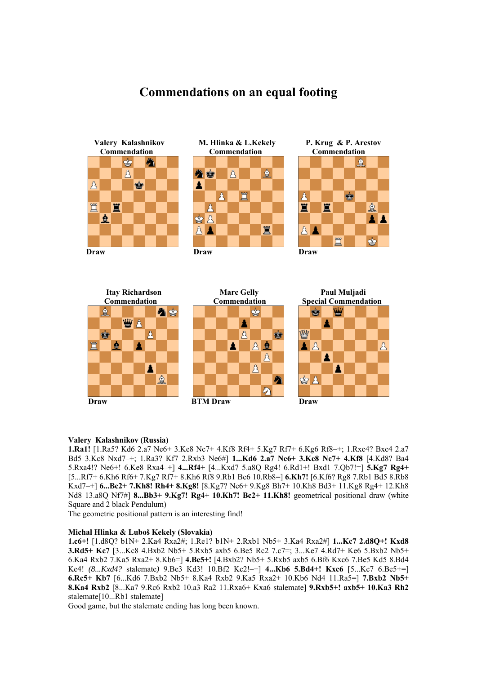## **Commendations on an equal footing**



 **Commendation Commendation Commendation**







## **Valery Kalashnikov (Russia)**

**1.Ra1!** [1.Ra5? Kd6 2.a7 Ne6+ 3.Ke8 Nc7+ 4.Kf8 Rf4+ 5.Kg7 Rf7+ 6.Kg6 Rf8–+; 1.Rxc4? Bxc4 2.a7 Bd5 3.Kc8 Nxd7–+; 1.Ra3? Kf7 2.Rxb3 Ne6#] **1...Kd6 2.a7 Ne6+ 3.Ke8 Nc7+ 4.Kf8** [4.Kd8? Ba4 5.Rxa4!? Ne6+! 6.Ke8 Rxa4–+] **4...Rf4+** [4...Kxd7 5.a8Q Rg4! 6.Rd1+! Bxd1 7.Qb7!=] **5.Kg7 Rg4+**  [5...Rf7+ 6.Kh6 Rf6+ 7.Kg7 Rf7+ 8.Kh6 Rf8 9.Rb1 Be6 10.Rb8=] **6.Kh7!** [6.Kf6? Rg8 7.Rb1 Bd5 8.Rb8 Kxd7–+] **6...Bc2+ 7.Kh8! Rh4+ 8.Kg8!** [8.Kg7? Ne6+ 9.Kg8 Bh7+ 10.Kh8 Bd3+ 11.Kg8 Rg4+ 12.Kh8 Nd8 13.a8Q Nf7#] **8...Bb3+ 9.Kg7! Rg4+ 10.Kh7! Bc2+ 11.Kh8!** geometrical positional draw (white Square and 2 black Pendulum)

The geometric positional pattern is an interesting find!

## **Michal Hlinka & Luboš Kekely (Slovakia)**

**1.c6+!** [1.d8Q? b1N+ 2.Ka4 Rxa2#; 1.Re1? b1N+ 2.Rxb1 Nb5+ 3.Ka4 Rxa2#] **1...Kc7 2.d8Q+! Kxd8 3.Rd5+ Kc7** [3...Kc8 4.Bxb2 Nb5+ 5.Rxb5 axb5 6.Be5 Rc2 7.c7=; 3...Ke7 4.Rd7+ Ke6 5.Bxb2 Nb5+ 6.Ka4 Rxb2 7.Ka5 Rxa2+ 8.Kb6=] **4.Be5+!** [4.Bxb2? Nb5+ 5.Rxb5 axb5 6.Bf6 Kxc6 7.Be5 Kd5 8.Bd4 Ke4! *(8...Kxd4?* stalemate*)* 9.Be3 Kd3! 10.Bf2 Kc2!–+] **4...Kb6 5.Bd4+! Kxc6** [5...Kc7 6.Be5+=] **6.Rc5+ Kb7** [6...Kd6 7.Bxb2 Nb5+ 8.Ka4 Rxb2 9.Ka5 Rxa2+ 10.Kb6 Nd4 11.Ra5=] **7.Bxb2 Nb5+ 8.Ka4 Rxb2** [8...Ka7 9.Rc6 Rxb2 10.a3 Ra2 11.Rxa6+ Kxa6 stalemate] **9.Rxb5+! axb5+ 10.Ka3 Rh2**  stalemate[10...Rb1 stalemate]

Good game, but the stalemate ending has long been known.